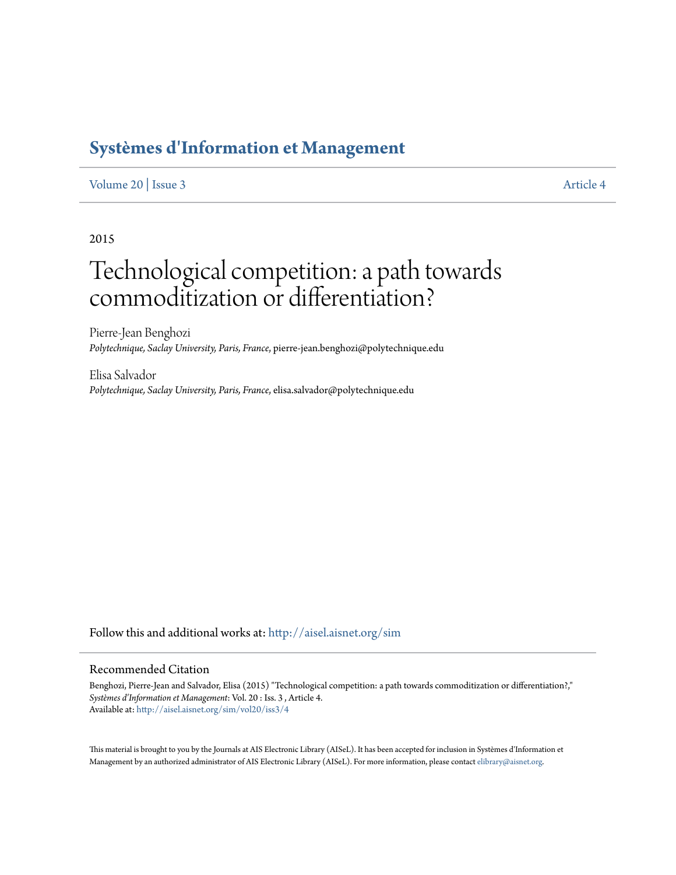# **[Systèmes d'Information et Management](http://aisel.aisnet.org/sim?utm_source=aisel.aisnet.org%2Fsim%2Fvol20%2Fiss3%2F4&utm_medium=PDF&utm_campaign=PDFCoverPages)**

### [Volume 20](http://aisel.aisnet.org/sim/vol20?utm_source=aisel.aisnet.org%2Fsim%2Fvol20%2Fiss3%2F4&utm_medium=PDF&utm_campaign=PDFCoverPages) | [Issue 3](http://aisel.aisnet.org/sim/vol20/iss3?utm_source=aisel.aisnet.org%2Fsim%2Fvol20%2Fiss3%2F4&utm_medium=PDF&utm_campaign=PDFCoverPages) [Article 4](http://aisel.aisnet.org/sim/vol20/iss3/4?utm_source=aisel.aisnet.org%2Fsim%2Fvol20%2Fiss3%2F4&utm_medium=PDF&utm_campaign=PDFCoverPages)

#### 2015

# Technological competition: a path towards commoditization or differentiation?

Pierre-Jean Benghozi *Polytechnique, Saclay University, Paris, France*, pierre-jean.benghozi@polytechnique.edu

Elisa Salvador *Polytechnique, Saclay University, Paris, France*, elisa.salvador@polytechnique.edu

Follow this and additional works at: [http://aisel.aisnet.org/sim](http://aisel.aisnet.org/sim?utm_source=aisel.aisnet.org%2Fsim%2Fvol20%2Fiss3%2F4&utm_medium=PDF&utm_campaign=PDFCoverPages)

#### Recommended Citation

Benghozi, Pierre-Jean and Salvador, Elisa (2015) "Technological competition: a path towards commoditization or differentiation?," *Systèmes d'Information et Management*: Vol. 20 : Iss. 3 , Article 4. Available at: [http://aisel.aisnet.org/sim/vol20/iss3/4](http://aisel.aisnet.org/sim/vol20/iss3/4?utm_source=aisel.aisnet.org%2Fsim%2Fvol20%2Fiss3%2F4&utm_medium=PDF&utm_campaign=PDFCoverPages)

This material is brought to you by the Journals at AIS Electronic Library (AISeL). It has been accepted for inclusion in Systèmes d'Information et Management by an authorized administrator of AIS Electronic Library (AISeL). For more information, please contact [elibrary@aisnet.org](mailto:elibrary@aisnet.org%3E).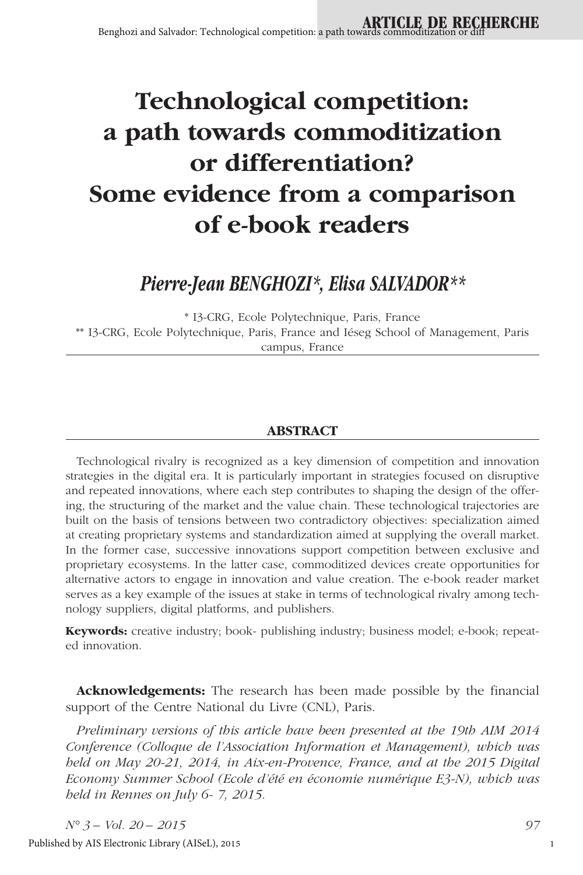# **Technological competition: a path towards commoditization or differentiation? Some evidence from a comparison of e-book readers**

*Pierre-Jean BENGHOZI\*, Elisa SALVADOR\*\**

\* I3-CRG, Ecole Polytechnique, Paris, France \*\* I3-CRG, Ecole Polytechnique, Paris, France and Iéseg School of Management, Paris campus, France

#### **ABSTRACT**

Technological rivalry is recognized as a key dimension of competition and innovation strategies in the digital era. It is particularly important in strategies focused on disruptive and repeated innovations, where each step contributes to shaping the design of the offering, the structuring of the market and the value chain. These technological trajectories are built on the basis of tensions between two contradictory objectives: specialization aimed at creating proprietary systems and standardization aimed at supplying the overall market. In the former case, successive innovations support competition between exclusive and proprietary ecosystems. In the latter case, commoditized devices create opportunities for alternative actors to engage in innovation and value creation. The e-book reader market serves as a key example of the issues at stake in terms of technological rivalry among technology suppliers, digital platforms, and publishers.

**Keywords:** creative industry; book- publishing industry; business model; e-book; repeated innovation.

**Acknowledgements:** The research has been made possible by the financial support of the Centre National du Livre (CNL), Paris.

*Preliminary versions of this article have been presented at the 19th AIM 2014 Conference (Colloque de l'Association Information et Management), which was held on May 20-21, 2014, in Aix-en-Provence, France, and at the 2015 Digital Economy Summer School (Ecole d'été en économie numérique E3-N), which was held in Rennes on July 6- 7, 2015.*

*N° 3 – Vol. 20 – 2015 97* Published by AIS Electronic Library (AISeL), 2015

1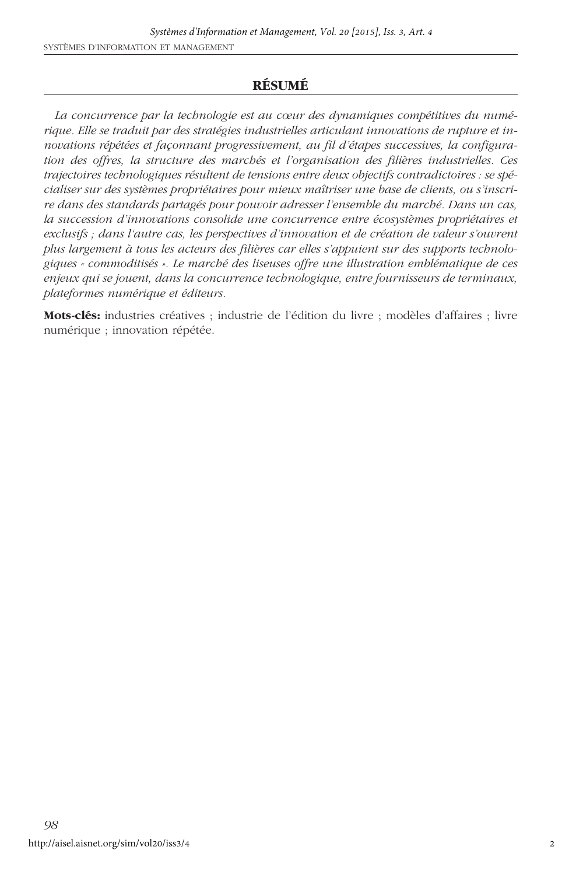# **RÉSUMÉ**

*La concurrence par la technologie est au cœur des dynamiques compétitives du numérique. Elle se traduit par des stratégies industrielles articulant innovations de rupture et innovations répétées et façonnant progressivement, au fil d'étapes successives, la configuration des offres, la structure des marchés et l'organisation des filières industrielles. Ces trajectoires technologiques résultent de tensions entre deux objectifs contradictoires : se spécialiser sur des systèmes propriétaires pour mieux maîtriser une base de clients, ou s'inscrire dans des standards partagés pour pouvoir adresser l'ensemble du marché. Dans un cas, la succession d'innovations consolide une concurrence entre écosystèmes propriétaires et exclusifs ; dans l'autre cas, les perspectives d'innovation et de création de valeur s'ouvrent plus largement à tous les acteurs des filières car elles s'appuient sur des supports technologiques « commoditisés ». Le marché des liseuses offre une illustration emblématique de ces enjeux qui se jouent, dans la concurrence technologique, entre fournisseurs de terminaux, plateformes numérique et éditeurs.*

**Mots-clés:** industries créatives ; industrie de l'édition du livre ; modèles d'affaires ; livre numérique ; innovation répétée.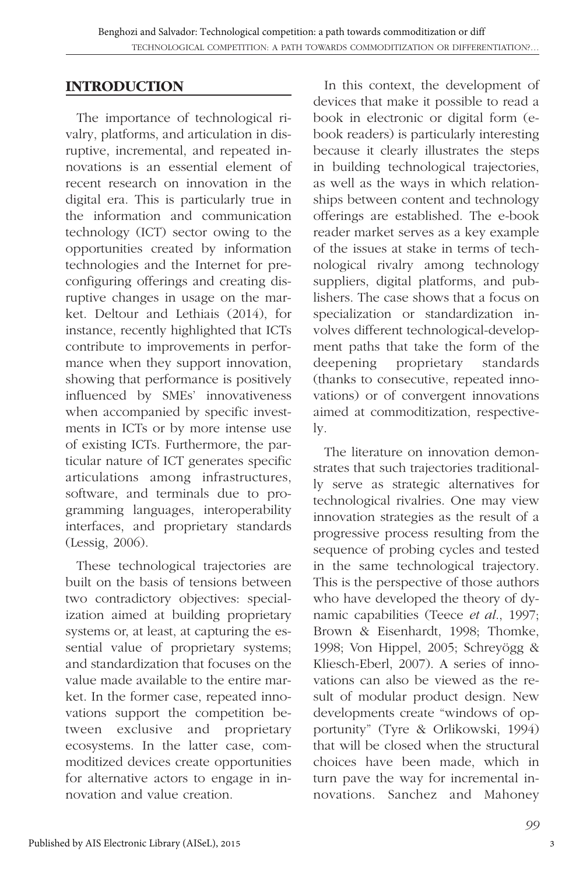#### **INTRODUCTION**

The importance of technological rivalry, platforms, and articulation in disruptive, incremental, and repeated innovations is an essential element of recent research on innovation in the digital era. This is particularly true in the information and communication technology (ICT) sector owing to the opportunities created by information technologies and the Internet for preconfiguring offerings and creating disruptive changes in usage on the market. Deltour and Lethiais (2014), for instance, recently highlighted that ICTs contribute to improvements in performance when they support innovation, showing that performance is positively influenced by SMEs' innovativeness when accompanied by specific investments in ICTs or by more intense use of existing ICTs. Furthermore, the particular nature of ICT generates specific articulations among infrastructures, software, and terminals due to programming languages, interoperability interfaces, and proprietary standards (Lessig, 2006).

These technological trajectories are built on the basis of tensions between two contradictory objectives: specialization aimed at building proprietary systems or, at least, at capturing the essential value of proprietary systems; and standardization that focuses on the value made available to the entire market. In the former case, repeated innovations support the competition between exclusive and proprietary ecosystems. In the latter case, commoditized devices create opportunities for alternative actors to engage in innovation and value creation.

In this context, the development of devices that make it possible to read a book in electronic or digital form (ebook readers) is particularly interesting because it clearly illustrates the steps in building technological trajectories, as well as the ways in which relationships between content and technology offerings are established. The e-book reader market serves as a key example of the issues at stake in terms of technological rivalry among technology suppliers, digital platforms, and publishers. The case shows that a focus on specialization or standardization involves different technological-development paths that take the form of the deepening proprietary standards (thanks to consecutive, repeated innovations) or of convergent innovations aimed at commoditization, respectively.

The literature on innovation demonstrates that such trajectories traditionally serve as strategic alternatives for technological rivalries. One may view innovation strategies as the result of a progressive process resulting from the sequence of probing cycles and tested in the same technological trajectory. This is the perspective of those authors who have developed the theory of dynamic capabilities (Teece *et al*., 1997; Brown & Eisenhardt, 1998; Thomke, 1998; Von Hippel, 2005; Schreyögg & Kliesch-Eberl, 2007). A series of innovations can also be viewed as the result of modular product design. New developments create "windows of opportunity" (Tyre & Orlikowski, 1994) that will be closed when the structural choices have been made, which in turn pave the way for incremental innovations. Sanchez and Mahoney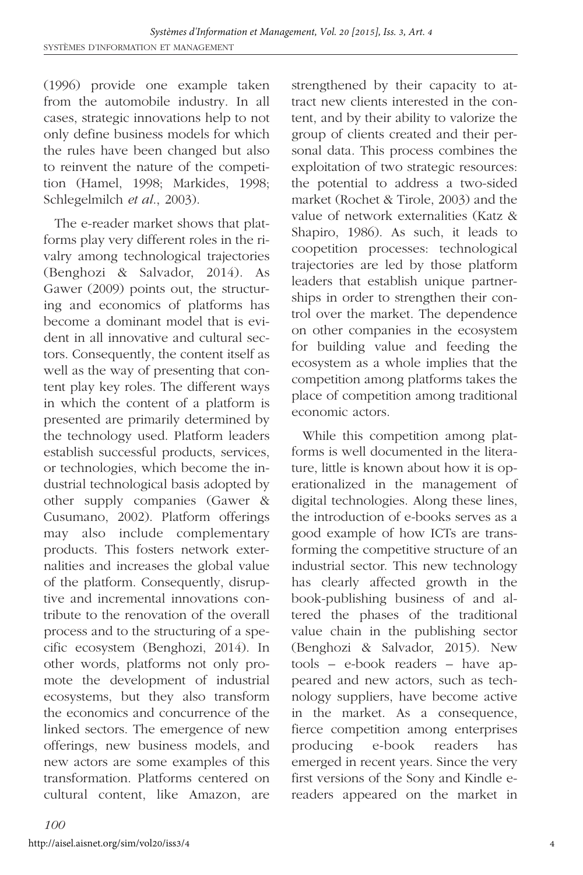(1996) provide one example taken from the automobile industry. In all cases, strategic innovations help to not only define business models for which the rules have been changed but also to reinvent the nature of the competition (Hamel, 1998; Markides, 1998; Schlegelmilch *et al*., 2003).

The e-reader market shows that platforms play very different roles in the rivalry among technological trajectories (Benghozi & Salvador, 2014). As Gawer (2009) points out, the structuring and economics of platforms has become a dominant model that is evident in all innovative and cultural sectors. Consequently, the content itself as well as the way of presenting that content play key roles. The different ways in which the content of a platform is presented are primarily determined by the technology used. Platform leaders establish successful products, services, or technologies, which become the industrial technological basis adopted by other supply companies (Gawer & Cusumano, 2002). Platform offerings may also include complementary products. This fosters network externalities and increases the global value of the platform. Consequently, disruptive and incremental innovations contribute to the renovation of the overall process and to the structuring of a specific ecosystem (Benghozi, 2014). In other words, platforms not only promote the development of industrial ecosystems, but they also transform the economics and concurrence of the linked sectors. The emergence of new offerings, new business models, and new actors are some examples of this transformation. Platforms centered on cultural content, like Amazon, are

strengthened by their capacity to attract new clients interested in the content, and by their ability to valorize the group of clients created and their personal data. This process combines the exploitation of two strategic resources: the potential to address a two-sided market (Rochet & Tirole, 2003) and the value of network externalities (Katz & Shapiro, 1986). As such, it leads to coopetition processes: technological trajectories are led by those platform leaders that establish unique partnerships in order to strengthen their control over the market. The dependence on other companies in the ecosystem for building value and feeding the ecosystem as a whole implies that the competition among platforms takes the place of competition among traditional economic actors.

While this competition among platforms is well documented in the literature, little is known about how it is operationalized in the management of digital technologies. Along these lines, the introduction of e-books serves as a good example of how ICTs are transforming the competitive structure of an industrial sector. This new technology has clearly affected growth in the book-publishing business of and altered the phases of the traditional value chain in the publishing sector (Benghozi & Salvador, 2015). New tools – e-book readers – have appeared and new actors, such as technology suppliers, have become active in the market. As a consequence, fierce competition among enterprises producing e-book readers has emerged in recent years. Since the very first versions of the Sony and Kindle ereaders appeared on the market in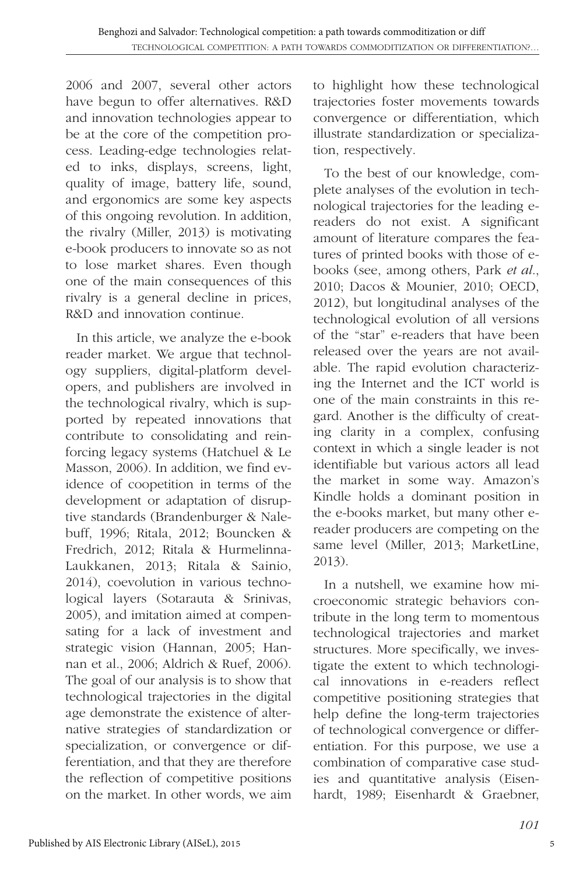2006 and 2007, several other actors have begun to offer alternatives. R&D and innovation technologies appear to be at the core of the competition process. Leading-edge technologies related to inks, displays, screens, light, quality of image, battery life, sound, and ergonomics are some key aspects of this ongoing revolution. In addition, the rivalry (Miller, 2013) is motivating e-book producers to innovate so as not to lose market shares. Even though one of the main consequences of this rivalry is a general decline in prices, R&D and innovation continue.

In this article, we analyze the e-book reader market. We argue that technology suppliers, digital-platform developers, and publishers are involved in the technological rivalry, which is supported by repeated innovations that contribute to consolidating and reinforcing legacy systems (Hatchuel & Le Masson, 2006). In addition, we find evidence of coopetition in terms of the development or adaptation of disruptive standards (Brandenburger & Nalebuff, 1996; Ritala, 2012; Bouncken & Fredrich, 2012; Ritala & Hurmelinna-Laukkanen, 2013; Ritala & Sainio, 2014), coevolution in various technological layers (Sotarauta & Srinivas, 2005), and imitation aimed at compensating for a lack of investment and strategic vision (Hannan, 2005; Hannan et al., 2006; Aldrich & Ruef, 2006). The goal of our analysis is to show that technological trajectories in the digital age demonstrate the existence of alternative strategies of standardization or specialization, or convergence or differentiation, and that they are therefore the reflection of competitive positions on the market. In other words, we aim to highlight how these technological trajectories foster movements towards convergence or differentiation, which illustrate standardization or specialization, respectively.

To the best of our knowledge, complete analyses of the evolution in technological trajectories for the leading ereaders do not exist. A significant amount of literature compares the features of printed books with those of ebooks (see, among others, Park *et al*., 2010; Dacos & Mounier, 2010; OECD, 2012), but longitudinal analyses of the technological evolution of all versions of the "star" e-readers that have been released over the years are not available. The rapid evolution characterizing the Internet and the ICT world is one of the main constraints in this regard. Another is the difficulty of creating clarity in a complex, confusing context in which a single leader is not identifiable but various actors all lead the market in some way. Amazon's Kindle holds a dominant position in the e-books market, but many other ereader producers are competing on the same level (Miller, 2013; MarketLine, 2013).

In a nutshell, we examine how microeconomic strategic behaviors contribute in the long term to momentous technological trajectories and market structures. More specifically, we investigate the extent to which technological innovations in e-readers reflect competitive positioning strategies that help define the long-term trajectories of technological convergence or differentiation. For this purpose, we use a combination of comparative case studies and quantitative analysis (Eisenhardt, 1989; Eisenhardt & Graebner,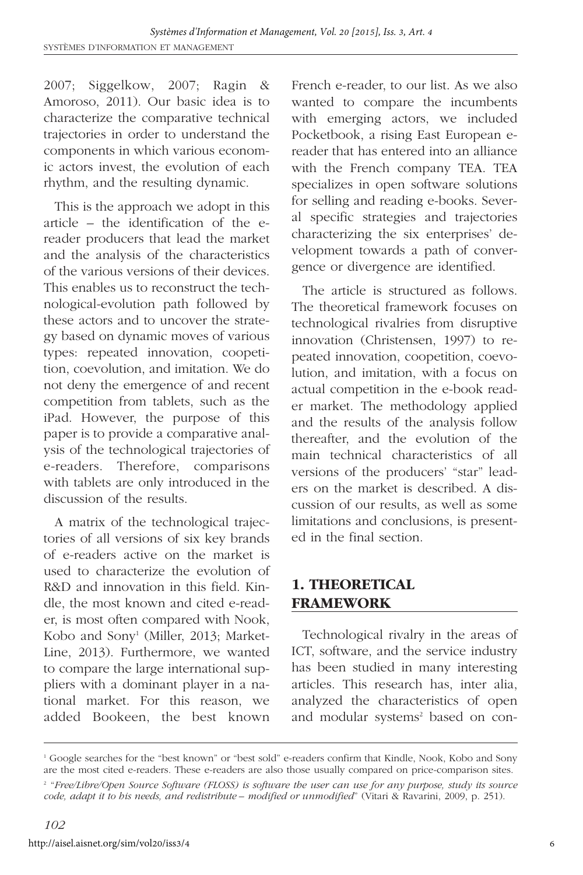2007; Siggelkow, 2007; Ragin & Amoroso, 2011). Our basic idea is to characterize the comparative technical trajectories in order to understand the components in which various economic actors invest, the evolution of each rhythm, and the resulting dynamic.

This is the approach we adopt in this article – the identification of the ereader producers that lead the market and the analysis of the characteristics of the various versions of their devices. This enables us to reconstruct the technological-evolution path followed by these actors and to uncover the strategy based on dynamic moves of various types: repeated innovation, coopetition, coevolution, and imitation. We do not deny the emergence of and recent competition from tablets, such as the iPad. However, the purpose of this paper is to provide a comparative analysis of the technological trajectories of e-readers. Therefore, comparisons with tablets are only introduced in the discussion of the results.

A matrix of the technological trajectories of all versions of six key brands of e-readers active on the market is used to characterize the evolution of R&D and innovation in this field. Kindle, the most known and cited e-reader, is most often compared with Nook, Kobo and Sony<sup>1</sup> (Miller, 2013; Market-Line, 2013). Furthermore, we wanted to compare the large international suppliers with a dominant player in a national market. For this reason, we added Bookeen, the best known French e-reader, to our list. As we also wanted to compare the incumbents with emerging actors, we included Pocketbook, a rising East European ereader that has entered into an alliance with the French company TEA. TEA specializes in open software solutions for selling and reading e-books. Several specific strategies and trajectories characterizing the six enterprises' development towards a path of convergence or divergence are identified.

The article is structured as follows. The theoretical framework focuses on technological rivalries from disruptive innovation (Christensen, 1997) to repeated innovation, coopetition, coevolution, and imitation, with a focus on actual competition in the e-book reader market. The methodology applied and the results of the analysis follow thereafter, and the evolution of the main technical characteristics of all versions of the producers' "star" leaders on the market is described. A discussion of our results, as well as some limitations and conclusions, is presented in the final section.

#### **1. THEORETICAL FRAMEWORK**

Technological rivalry in the areas of ICT, software, and the service industry has been studied in many interesting articles. This research has, inter alia, analyzed the characteristics of open and modular systems<sup>2</sup> based on con-

<sup>1</sup> Google searches for the "best known" or "best sold" e-readers confirm that Kindle, Nook, Kobo and Sony are the most cited e-readers. These e-readers are also those usually compared on price-comparison sites.

<sup>2</sup> "*Free/Libre/Open Source Software (FLOSS) is software the user can use for any purpose, study its source code, adapt it to his needs, and redistribute – modified or unmodified*" (Vitari & Ravarini, 2009, p. 251).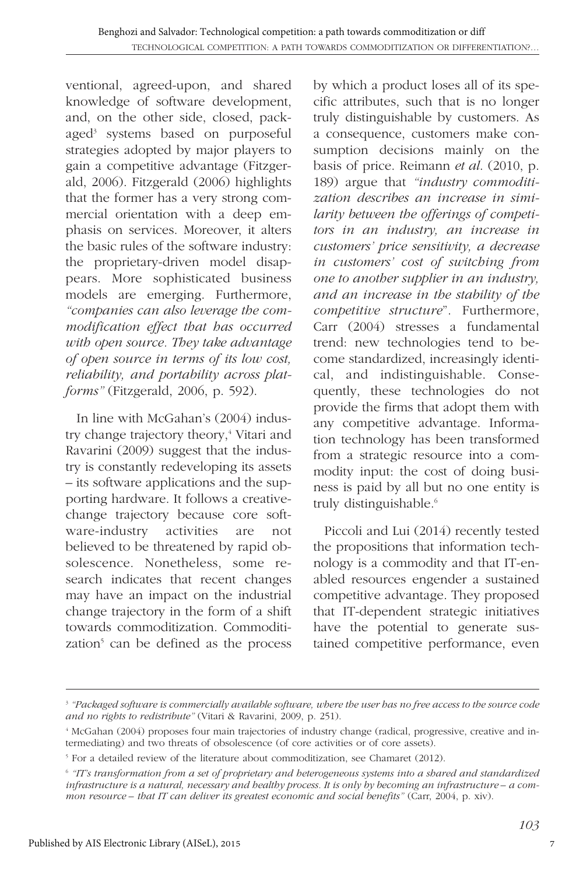ventional, agreed-upon, and shared knowledge of software development, and, on the other side, closed, packaged<sup>3</sup> systems based on purposeful strategies adopted by major players to gain a competitive advantage (Fitzgerald, 2006). Fitzgerald (2006) highlights that the former has a very strong commercial orientation with a deep emphasis on services. Moreover, it alters the basic rules of the software industry: the proprietary-driven model disappears. More sophisticated business models are emerging. Furthermore, *"companies can also leverage the commodification effect that has occurred with open source. They take advantage of open source in terms of its low cost, reliability, and portability across platforms"* (Fitzgerald, 2006, p. 592).

In line with McGahan's (2004) industry change trajectory theory,<sup>4</sup> Vitari and Ravarini (2009) suggest that the industry is constantly redeveloping its assets – its software applications and the supporting hardware. It follows a creativechange trajectory because core software-industry activities are not believed to be threatened by rapid obsolescence. Nonetheless, some research indicates that recent changes may have an impact on the industrial change trajectory in the form of a shift towards commoditization. Commoditization<sup>5</sup> can be defined as the process by which a product loses all of its specific attributes, such that is no longer truly distinguishable by customers. As a consequence, customers make consumption decisions mainly on the basis of price. Reimann *et al*. (2010, p. 189) argue that *"industry commoditization describes an increase in similarity between the offerings of competitors in an industry, an increase in customers' price sensitivity, a decrease in customers' cost of switching from one to another supplier in an industry, and an increase in the stability of the competitive structure*". Furthermore, Carr (2004) stresses a fundamental trend: new technologies tend to become standardized, increasingly identical, and indistinguishable. Consequently, these technologies do not provide the firms that adopt them with any competitive advantage. Information technology has been transformed from a strategic resource into a commodity input: the cost of doing business is paid by all but no one entity is truly distinguishable.<sup>6</sup>

Piccoli and Lui (2014) recently tested the propositions that information technology is a commodity and that IT-enabled resources engender a sustained competitive advantage. They proposed that IT-dependent strategic initiatives have the potential to generate sustained competitive performance, even

<sup>3</sup> *"Packaged software is commercially available software, where the user has no free access to the source code and no rights to redistribute"* (Vitari & Ravarini, 2009, p. 251).

<sup>4</sup> McGahan (2004) proposes four main trajectories of industry change (radical, progressive, creative and intermediating) and two threats of obsolescence (of core activities or of core assets).

<sup>&</sup>lt;sup>5</sup> For a detailed review of the literature about commoditization, see Chamaret (2012).

<sup>6</sup> *"IT's transformation from a set of proprietary and heterogeneous systems into a shared and standardized infrastructure is a natural, necessary and healthy process. It is only by becoming an infrastructure – a common resource – that IT can deliver its greatest economic and social benefits"* (Carr, 2004, p. xiv).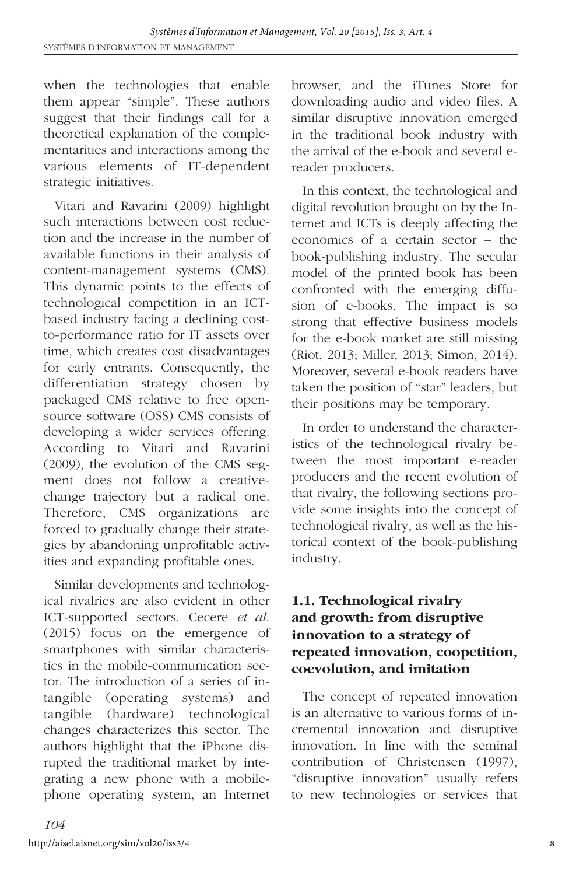when the technologies that enable them appear "simple". These authors suggest that their findings call for a theoretical explanation of the complementarities and interactions among the various elements of IT-dependent strategic initiatives.

Vitari and Ravarini (2009) highlight such interactions between cost reduction and the increase in the number of available functions in their analysis of content-management systems (CMS). This dynamic points to the effects of technological competition in an ICTbased industry facing a declining costto-performance ratio for IT assets over time, which creates cost disadvantages for early entrants. Consequently, the differentiation strategy chosen by packaged CMS relative to free opensource software (OSS) CMS consists of developing a wider services offering. According to Vitari and Ravarini (2009), the evolution of the CMS segment does not follow a creativechange trajectory but a radical one. Therefore, CMS organizations are forced to gradually change their strategies by abandoning unprofitable activities and expanding profitable ones.

Similar developments and technological rivalries are also evident in other ICT-supported sectors. Cecere *et al*. (2015) focus on the emergence of smartphones with similar characteristics in the mobile-communication sector. The introduction of a series of intangible (operating systems) and tangible (hardware) technological changes characterizes this sector. The authors highlight that the iPhone disrupted the traditional market by integrating a new phone with a mobilephone operating system, an Internet

browser, and the iTunes Store for downloading audio and video files. A similar disruptive innovation emerged in the traditional book industry with the arrival of the e-book and several ereader producers.

In this context, the technological and digital revolution brought on by the Internet and ICTs is deeply affecting the economics of a certain sector – the book-publishing industry. The secular model of the printed book has been confronted with the emerging diffusion of e-books. The impact is so strong that effective business models for the e-book market are still missing (Riot, 2013; Miller, 2013; Simon, 2014). Moreover, several e-book readers have taken the position of "star" leaders, but their positions may be temporary.

In order to understand the characteristics of the technological rivalry between the most important e-reader producers and the recent evolution of that rivalry, the following sections provide some insights into the concept of technological rivalry, as well as the historical context of the book-publishing industry.

#### **1.1. Technological rivalry and growth: from disruptive innovation to a strategy of repeated innovation, coopetition, coevolution, and imitation**

The concept of repeated innovation is an alternative to various forms of incremental innovation and disruptive innovation. In line with the seminal contribution of Christensen (1997), "disruptive innovation" usually refers to new technologies or services that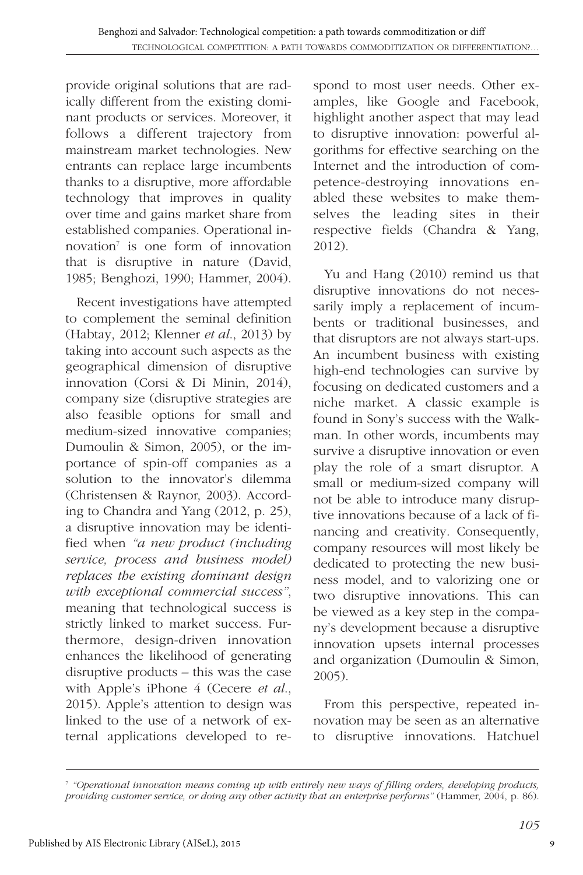provide original solutions that are radically different from the existing dominant products or services. Moreover, it follows a different trajectory from mainstream market technologies. New entrants can replace large incumbents thanks to a disruptive, more affordable technology that improves in quality over time and gains market share from established companies. Operational innovation<sup>7</sup> is one form of innovation that is disruptive in nature (David, 1985; Benghozi, 1990; Hammer, 2004).

Recent investigations have attempted to complement the seminal definition (Habtay, 2012; Klenner *et al*., 2013) by taking into account such aspects as the geographical dimension of disruptive innovation (Corsi & Di Minin, 2014), company size (disruptive strategies are also feasible options for small and medium-sized innovative companies; Dumoulin & Simon, 2005), or the importance of spin-off companies as a solution to the innovator's dilemma (Christensen & Raynor, 2003). According to Chandra and Yang (2012, p. 25), a disruptive innovation may be identified when *"a new product (including service, process and business model) replaces the existing dominant design with exceptional commercial success"*, meaning that technological success is strictly linked to market success. Furthermore, design-driven innovation enhances the likelihood of generating disruptive products – this was the case with Apple's iPhone 4 (Cecere *et al*., 2015). Apple's attention to design was linked to the use of a network of external applications developed to re-

spond to most user needs. Other examples, like Google and Facebook, highlight another aspect that may lead to disruptive innovation: powerful algorithms for effective searching on the Internet and the introduction of competence-destroying innovations enabled these websites to make themselves the leading sites in their respective fields (Chandra & Yang, 2012).

Yu and Hang (2010) remind us that disruptive innovations do not necessarily imply a replacement of incumbents or traditional businesses, and that disruptors are not always start-ups. An incumbent business with existing high-end technologies can survive by focusing on dedicated customers and a niche market. A classic example is found in Sony's success with the Walkman. In other words, incumbents may survive a disruptive innovation or even play the role of a smart disruptor. A small or medium-sized company will not be able to introduce many disruptive innovations because of a lack of financing and creativity. Consequently, company resources will most likely be dedicated to protecting the new business model, and to valorizing one or two disruptive innovations. This can be viewed as a key step in the company's development because a disruptive innovation upsets internal processes and organization (Dumoulin & Simon, 2005).

From this perspective, repeated innovation may be seen as an alternative to disruptive innovations. Hatchuel

<sup>7</sup> *"Operational innovation means coming up with entirely new ways of filling orders, developing products, providing customer service, or doing any other activity that an enterprise performs"* (Hammer, 2004, p. 86).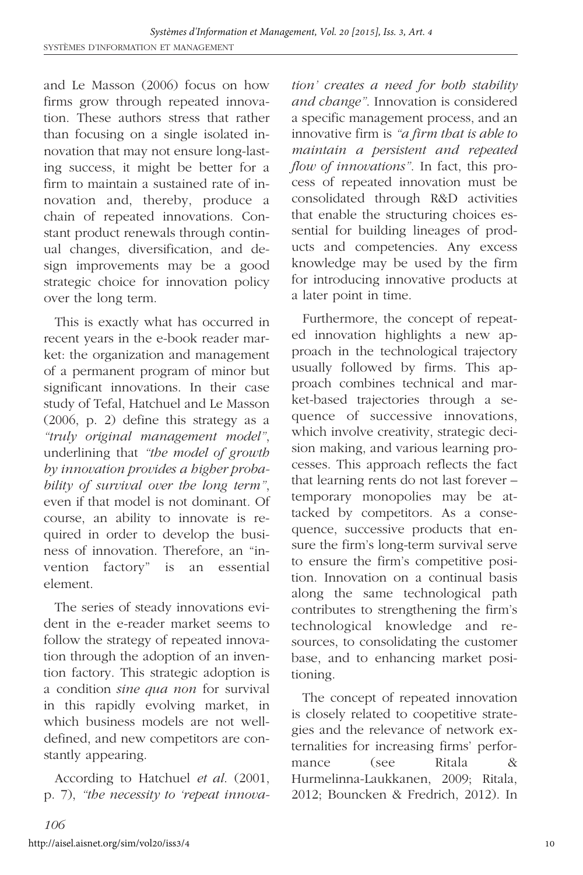and Le Masson (2006) focus on how firms grow through repeated innovation. These authors stress that rather than focusing on a single isolated innovation that may not ensure long-lasting success, it might be better for a firm to maintain a sustained rate of innovation and, thereby, produce a chain of repeated innovations. Constant product renewals through continual changes, diversification, and design improvements may be a good strategic choice for innovation policy over the long term.

This is exactly what has occurred in recent years in the e-book reader market: the organization and management of a permanent program of minor but significant innovations. In their case study of Tefal, Hatchuel and Le Masson (2006, p. 2) define this strategy as a *"truly original management model"*, underlining that *"the model of growth by innovation provides a higher probability of survival over the long term"*, even if that model is not dominant*.* Of course, an ability to innovate is required in order to develop the business of innovation. Therefore, an "invention factory" is an essential element.

The series of steady innovations evident in the e-reader market seems to follow the strategy of repeated innovation through the adoption of an invention factory. This strategic adoption is a condition *sine qua non* for survival in this rapidly evolving market, in which business models are not welldefined, and new competitors are constantly appearing.

According to Hatchuel *et al*. (2001, p. 7), *"the necessity to 'repeat innova-*

*tion' creates a need for both stability and change"*. Innovation is considered a specific management process, and an innovative firm is *"a firm that is able to maintain a persistent and repeated flow of innovations"*. In fact, this process of repeated innovation must be consolidated through R&D activities that enable the structuring choices essential for building lineages of products and competencies. Any excess knowledge may be used by the firm for introducing innovative products at a later point in time.

Furthermore, the concept of repeated innovation highlights a new approach in the technological trajectory usually followed by firms. This approach combines technical and market-based trajectories through a sequence of successive innovations, which involve creativity, strategic decision making, and various learning processes. This approach reflects the fact that learning rents do not last forever – temporary monopolies may be attacked by competitors. As a consequence, successive products that ensure the firm's long-term survival serve to ensure the firm's competitive position. Innovation on a continual basis along the same technological path contributes to strengthening the firm's technological knowledge and resources, to consolidating the customer base, and to enhancing market positioning.

The concept of repeated innovation is closely related to coopetitive strategies and the relevance of network externalities for increasing firms' performance (see Ritala & Hurmelinna-Laukkanen, 2009; Ritala, 2012; Bouncken & Fredrich, 2012). In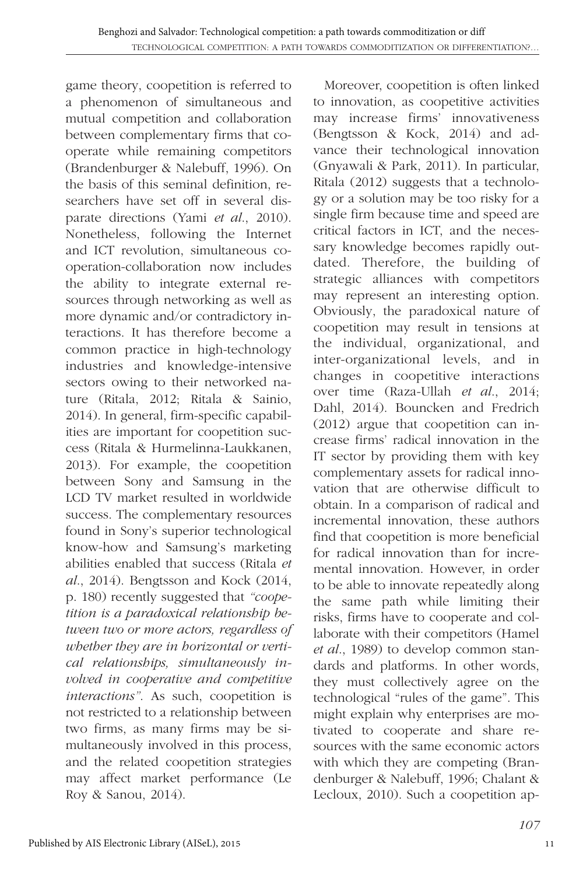game theory, coopetition is referred to a phenomenon of simultaneous and mutual competition and collaboration between complementary firms that cooperate while remaining competitors (Brandenburger & Nalebuff, 1996). On the basis of this seminal definition, researchers have set off in several disparate directions (Yami *et al*., 2010). Nonetheless, following the Internet and ICT revolution, simultaneous cooperation-collaboration now includes the ability to integrate external resources through networking as well as more dynamic and/or contradictory interactions. It has therefore become a common practice in high-technology industries and knowledge-intensive sectors owing to their networked nature (Ritala, 2012; Ritala & Sainio, 2014). In general, firm-specific capabilities are important for coopetition success (Ritala & Hurmelinna-Laukkanen, 2013). For example, the coopetition between Sony and Samsung in the LCD TV market resulted in worldwide success. The complementary resources found in Sony's superior technological know-how and Samsung's marketing abilities enabled that success (Ritala *et al*., 2014). Bengtsson and Kock (2014, p. 180) recently suggested that *"coopetition is a paradoxical relationship between two or more actors, regardless of whether they are in horizontal or vertical relationships, simultaneously involved in cooperative and competitive interactions"*. As such, coopetition is not restricted to a relationship between two firms, as many firms may be simultaneously involved in this process, and the related coopetition strategies may affect market performance (Le Roy & Sanou, 2014).

Moreover, coopetition is often linked to innovation, as coopetitive activities may increase firms' innovativeness (Bengtsson & Kock, 2014) and advance their technological innovation (Gnyawali & Park, 2011). In particular, Ritala (2012) suggests that a technology or a solution may be too risky for a single firm because time and speed are critical factors in ICT, and the necessary knowledge becomes rapidly outdated. Therefore, the building of strategic alliances with competitors may represent an interesting option. Obviously, the paradoxical nature of coopetition may result in tensions at the individual, organizational, and inter-organizational levels, and in changes in coopetitive interactions over time (Raza-Ullah *et al*., 2014; Dahl, 2014). Bouncken and Fredrich (2012) argue that coopetition can increase firms' radical innovation in the IT sector by providing them with key complementary assets for radical innovation that are otherwise difficult to obtain. In a comparison of radical and incremental innovation, these authors find that coopetition is more beneficial for radical innovation than for incremental innovation. However, in order to be able to innovate repeatedly along the same path while limiting their risks, firms have to cooperate and collaborate with their competitors (Hamel *et al*., 1989) to develop common standards and platforms. In other words, they must collectively agree on the technological "rules of the game". This might explain why enterprises are motivated to cooperate and share resources with the same economic actors with which they are competing (Brandenburger & Nalebuff, 1996; Chalant & Lecloux, 2010). Such a coopetition ap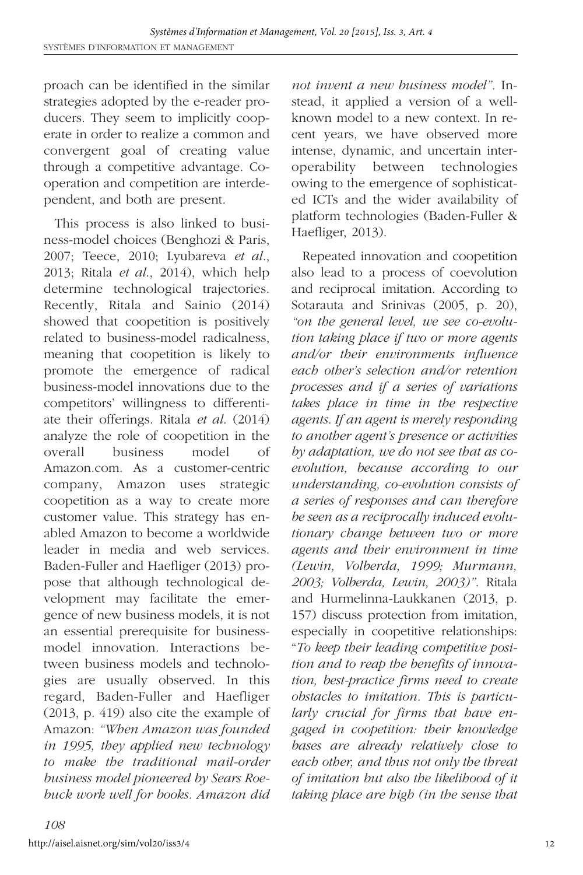proach can be identified in the similar strategies adopted by the e-reader producers. They seem to implicitly cooperate in order to realize a common and convergent goal of creating value through a competitive advantage. Cooperation and competition are interdependent, and both are present.

This process is also linked to business-model choices (Benghozi & Paris, 2007; Teece, 2010; Lyubareva *et al*., 2013; Ritala *et al*., 2014), which help determine technological trajectories. Recently, Ritala and Sainio (2014) showed that coopetition is positively related to business-model radicalness, meaning that coopetition is likely to promote the emergence of radical business-model innovations due to the competitors' willingness to differentiate their offerings. Ritala *et al*. (2014) analyze the role of coopetition in the overall business model of Amazon.com. As a customer-centric company, Amazon uses strategic coopetition as a way to create more customer value. This strategy has enabled Amazon to become a worldwide leader in media and web services. Baden-Fuller and Haefliger (2013) propose that although technological development may facilitate the emergence of new business models, it is not an essential prerequisite for businessmodel innovation. Interactions between business models and technologies are usually observed. In this regard, Baden-Fuller and Haefliger (2013, p. 419) also cite the example of Amazon: *"When Amazon was founded in 1995, they applied new technology to make the traditional mail-order business model pioneered by Sears Roebuck work well for books. Amazon did* *not invent a new business model"*. Instead, it applied a version of a wellknown model to a new context. In recent years, we have observed more intense, dynamic, and uncertain interoperability between technologies owing to the emergence of sophisticated ICTs and the wider availability of platform technologies (Baden-Fuller & Haefliger, 2013).

Repeated innovation and coopetition also lead to a process of coevolution and reciprocal imitation. According to Sotarauta and Srinivas (2005, p. 20), *"on the general level, we see co-evolution taking place if two or more agents and/or their environments influence each other's selection and/or retention processes and if a series of variations takes place in time in the respective agents. If an agent is merely responding to another agent's presence or activities by adaptation, we do not see that as coevolution, because according to our understanding, co-evolution consists of a series of responses and can therefore be seen as a reciprocally induced evolutionary change between two or more agents and their environment in time (Lewin, Volberda, 1999; Murmann, 2003; Volberda, Lewin, 2003)"*. Ritala and Hurmelinna-Laukkanen (2013, p. 157) discuss protection from imitation, especially in coopetitive relationships: "*To keep their leading competitive position and to reap the benefits of innovation, best-practice firms need to create obstacles to imitation. This is particularly crucial for firms that have engaged in coopetition: their knowledge bases are already relatively close to each other, and thus not only the threat of imitation but also the likelihood of it taking place are high (in the sense that*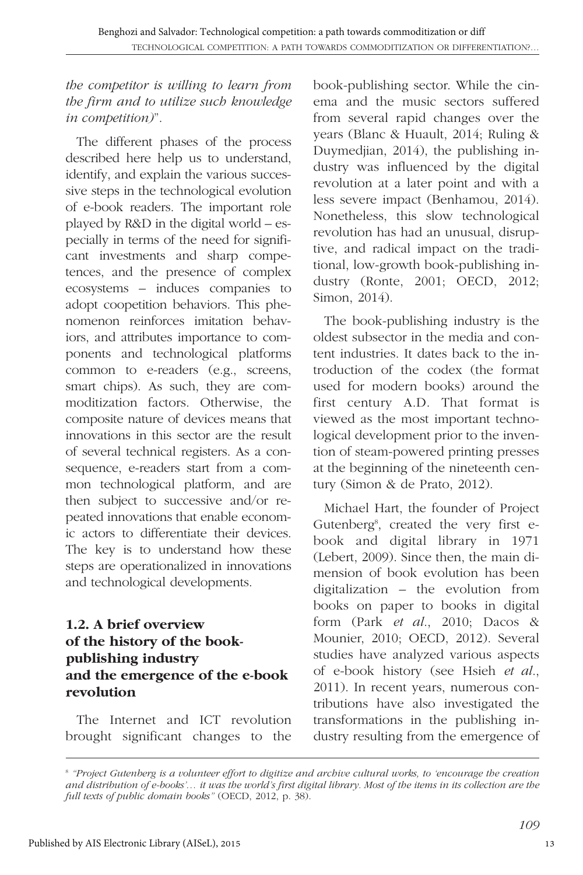#### *the competitor is willing to learn from the firm and to utilize such knowledge in competition)*".

The different phases of the process described here help us to understand, identify, and explain the various successive steps in the technological evolution of e-book readers. The important role played by R&D in the digital world – especially in terms of the need for significant investments and sharp competences, and the presence of complex ecosystems – induces companies to adopt coopetition behaviors. This phenomenon reinforces imitation behaviors, and attributes importance to components and technological platforms common to e-readers (e.g., screens, smart chips). As such, they are commoditization factors. Otherwise, the composite nature of devices means that innovations in this sector are the result of several technical registers. As a consequence, e-readers start from a common technological platform, and are then subject to successive and/or repeated innovations that enable economic actors to differentiate their devices. The key is to understand how these steps are operationalized in innovations and technological developments.

#### **1.2. A brief overview of the history of the bookpublishing industry and the emergence of the e-book revolution**

The Internet and ICT revolution brought significant changes to the

book-publishing sector. While the cinema and the music sectors suffered from several rapid changes over the years (Blanc & Huault, 2014; Ruling & Duymedjian, 2014), the publishing industry was influenced by the digital revolution at a later point and with a less severe impact (Benhamou, 2014). Nonetheless, this slow technological revolution has had an unusual, disruptive, and radical impact on the traditional, low-growth book-publishing industry (Ronte, 2001; OECD, 2012; Simon, 2014).

The book-publishing industry is the oldest subsector in the media and content industries. It dates back to the introduction of the codex (the format used for modern books) around the first century A.D. That format is viewed as the most important technological development prior to the invention of steam-powered printing presses at the beginning of the nineteenth century (Simon & de Prato, 2012).

Michael Hart, the founder of Project Gutenberg<sup>8</sup>, created the very first ebook and digital library in 1971 (Lebert, 2009). Since then, the main dimension of book evolution has been digitalization – the evolution from books on paper to books in digital form (Park *et al*., 2010; Dacos & Mounier, 2010; OECD, 2012). Several studies have analyzed various aspects of e-book history (see Hsieh *et al*., 2011). In recent years, numerous contributions have also investigated the transformations in the publishing industry resulting from the emergence of

<sup>8</sup> *"Project Gutenberg is a volunteer effort to digitize and archive cultural works, to 'encourage the creation and distribution of e-books'… it was the world's first digital library. Most of the items in its collection are the full texts of public domain books"* (OECD, 2012, p. 38).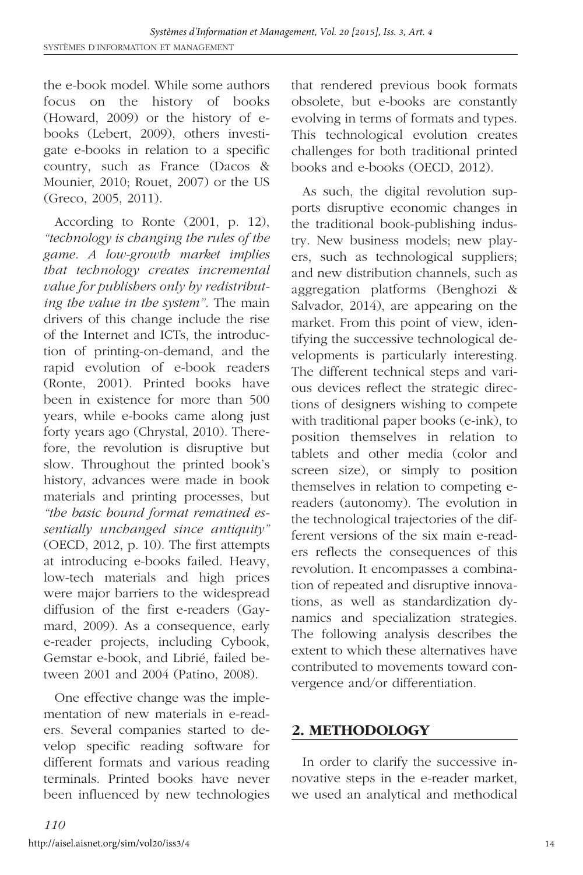the e-book model. While some authors focus on the history of books (Howard, 2009) or the history of ebooks (Lebert, 2009), others investigate e-books in relation to a specific country, such as France (Dacos & Mounier, 2010; Rouet, 2007) or the US (Greco, 2005, 2011).

According to Ronte (2001, p. 12), *"technology is changing the rules of the game. A low-growth market implies that technology creates incremental value for publishers only by redistributing the value in the system"*. The main drivers of this change include the rise of the Internet and ICTs, the introduction of printing-on-demand, and the rapid evolution of e-book readers (Ronte, 2001). Printed books have been in existence for more than 500 years, while e-books came along just forty years ago (Chrystal, 2010). Therefore, the revolution is disruptive but slow. Throughout the printed book's history, advances were made in book materials and printing processes, but *"the basic bound format remained essentially unchanged since antiquity"* (OECD, 2012, p. 10). The first attempts at introducing e-books failed. Heavy, low-tech materials and high prices were major barriers to the widespread diffusion of the first e-readers (Gaymard, 2009). As a consequence, early e-reader projects, including Cybook, Gemstar e-book, and Librié, failed between 2001 and 2004 (Patino, 2008).

One effective change was the implementation of new materials in e-readers. Several companies started to develop specific reading software for different formats and various reading terminals. Printed books have never been influenced by new technologies

*110* http://aisel.aisnet.org/sim/vol20/iss3/4 that rendered previous book formats obsolete, but e-books are constantly evolving in terms of formats and types. This technological evolution creates challenges for both traditional printed books and e-books (OECD, 2012).

As such, the digital revolution supports disruptive economic changes in the traditional book-publishing industry. New business models; new players, such as technological suppliers; and new distribution channels, such as aggregation platforms (Benghozi & Salvador, 2014), are appearing on the market. From this point of view, identifying the successive technological developments is particularly interesting. The different technical steps and various devices reflect the strategic directions of designers wishing to compete with traditional paper books (e-ink), to position themselves in relation to tablets and other media (color and screen size), or simply to position themselves in relation to competing ereaders (autonomy). The evolution in the technological trajectories of the different versions of the six main e-readers reflects the consequences of this revolution. It encompasses a combination of repeated and disruptive innovations, as well as standardization dynamics and specialization strategies. The following analysis describes the extent to which these alternatives have contributed to movements toward convergence and/or differentiation.

#### **2. METHODOLOGY**

In order to clarify the successive innovative steps in the e-reader market, we used an analytical and methodical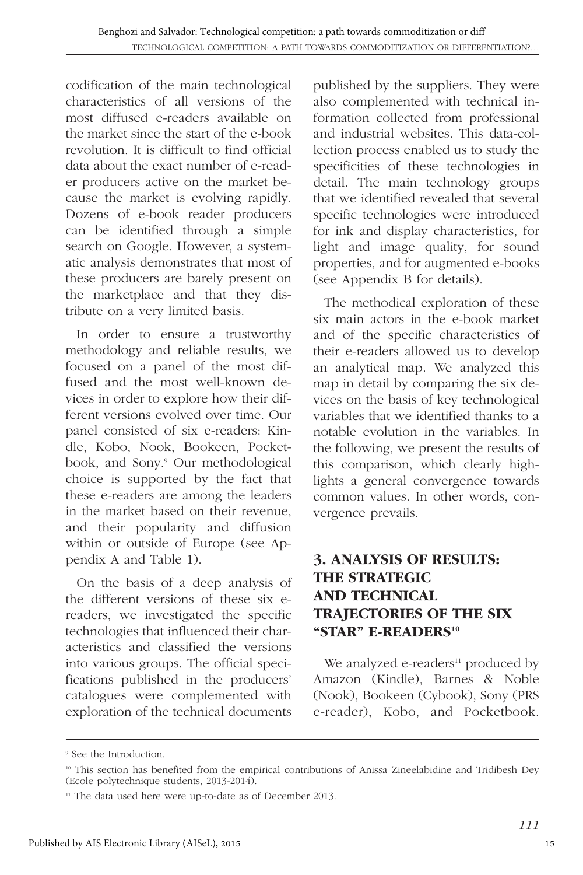codification of the main technological characteristics of all versions of the most diffused e-readers available on the market since the start of the e-book revolution. It is difficult to find official data about the exact number of e-reader producers active on the market because the market is evolving rapidly. Dozens of e-book reader producers can be identified through a simple search on Google. However, a systematic analysis demonstrates that most of these producers are barely present on the marketplace and that they distribute on a very limited basis.

In order to ensure a trustworthy methodology and reliable results, we focused on a panel of the most diffused and the most well-known devices in order to explore how their different versions evolved over time. Our panel consisted of six e-readers: Kindle, Kobo, Nook, Bookeen, Pocketbook, and Sony.9 Our methodological choice is supported by the fact that these e-readers are among the leaders in the market based on their revenue, and their popularity and diffusion within or outside of Europe (see Appendix A and Table 1).

On the basis of a deep analysis of the different versions of these six ereaders, we investigated the specific technologies that influenced their characteristics and classified the versions into various groups. The official specifications published in the producers' catalogues were complemented with exploration of the technical documents

published by the suppliers. They were also complemented with technical information collected from professional and industrial websites. This data-collection process enabled us to study the specificities of these technologies in detail. The main technology groups that we identified revealed that several specific technologies were introduced for ink and display characteristics, for light and image quality, for sound properties, and for augmented e-books (see Appendix B for details).

The methodical exploration of these six main actors in the e-book market and of the specific characteristics of their e-readers allowed us to develop an analytical map. We analyzed this map in detail by comparing the six devices on the basis of key technological variables that we identified thanks to a notable evolution in the variables. In the following, we present the results of this comparison, which clearly highlights a general convergence towards common values. In other words, convergence prevails.

# **3. ANALYSIS OF RESULTS: THE STRATEGIC AND TECHNICAL TRAJECTORIES OF THE SIX "STAR" E-READERS10**

We analyzed e-readers<sup>11</sup> produced by Amazon (Kindle), Barnes & Noble (Nook), Bookeen (Cybook), Sony (PRS e-reader), Kobo, and Pocketbook.

<sup>9</sup> See the Introduction.

<sup>&</sup>lt;sup>10</sup> This section has benefited from the empirical contributions of Anissa Zineelabidine and Tridibesh Dey (Ecole polytechnique students, 2013-2014).

 $11$  The data used here were up-to-date as of December 2013.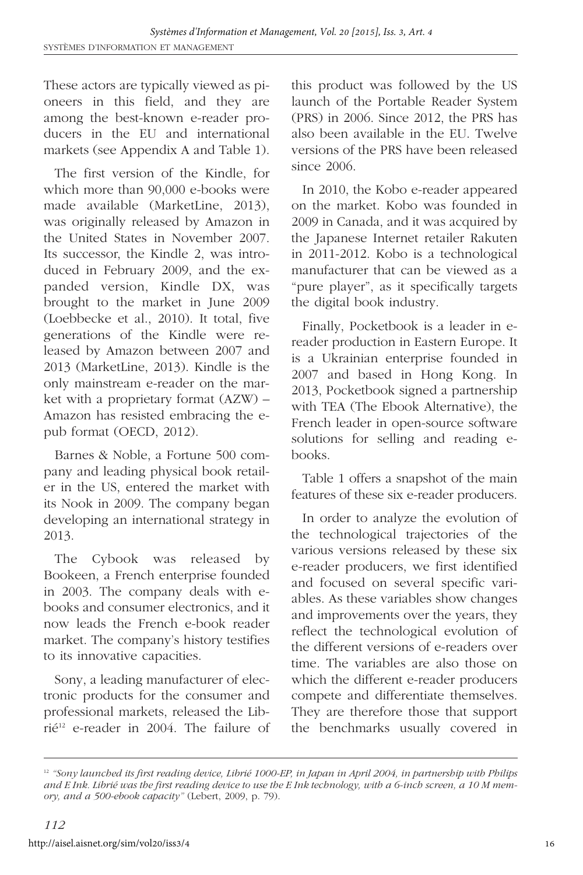These actors are typically viewed as pioneers in this field, and they are among the best-known e-reader producers in the EU and international markets (see Appendix A and Table 1).

The first version of the Kindle, for which more than 90,000 e-books were made available (MarketLine, 2013), was originally released by Amazon in the United States in November 2007. Its successor, the Kindle 2, was introduced in February 2009, and the expanded version, Kindle DX, was brought to the market in June 2009 (Loebbecke et al., 2010). It total, five generations of the Kindle were released by Amazon between 2007 and 2013 (MarketLine, 2013). Kindle is the only mainstream e-reader on the market with a proprietary format (AZW) – Amazon has resisted embracing the epub format (OECD, 2012).

Barnes & Noble, a Fortune 500 company and leading physical book retailer in the US, entered the market with its Nook in 2009. The company began developing an international strategy in 2013.

The Cybook was released by Bookeen, a French enterprise founded in 2003. The company deals with ebooks and consumer electronics, and it now leads the French e-book reader market. The company's history testifies to its innovative capacities.

Sony, a leading manufacturer of electronic products for the consumer and professional markets, released the Librié<sup>12</sup> e-reader in 2004. The failure of this product was followed by the US launch of the Portable Reader System (PRS) in 2006. Since 2012, the PRS has also been available in the EU. Twelve versions of the PRS have been released since 2006.

In 2010, the Kobo e-reader appeared on the market. Kobo was founded in 2009 in Canada, and it was acquired by the Japanese Internet retailer Rakuten in 2011-2012. Kobo is a technological manufacturer that can be viewed as a "pure player", as it specifically targets the digital book industry.

Finally, Pocketbook is a leader in ereader production in Eastern Europe. It is a Ukrainian enterprise founded in 2007 and based in Hong Kong. In 2013, Pocketbook signed a partnership with TEA (The Ebook Alternative), the French leader in open-source software solutions for selling and reading ebooks.

Table 1 offers a snapshot of the main features of these six e-reader producers.

In order to analyze the evolution of the technological trajectories of the various versions released by these six e-reader producers, we first identified and focused on several specific variables. As these variables show changes and improvements over the years, they reflect the technological evolution of the different versions of e-readers over time. The variables are also those on which the different e-reader producers compete and differentiate themselves. They are therefore those that support the benchmarks usually covered in

<sup>12</sup> *"Sony launched its first reading device, Librié 1000-EP, in Japan in April 2004, in partnership with Philips and E Ink. Librié was the first reading device to use the E Ink technology, with a 6-inch screen, a 10 M memory, and a 500-ebook capacity"* (Lebert, 2009, p. 79).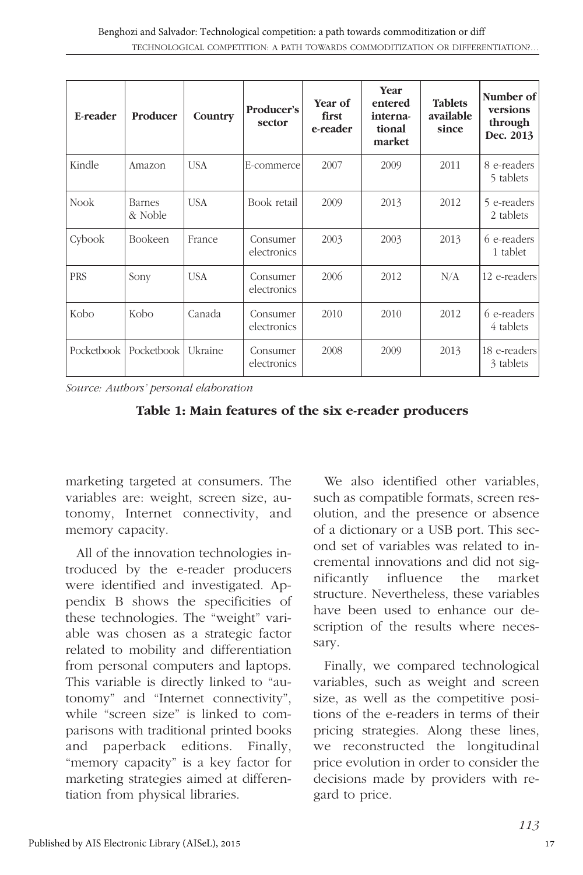| E-reader   | Producer                 | Country    | Producer's<br>sector    | Year of<br>first<br>e-reader | Year<br>entered<br>interna-<br>tional<br>market | <b>Tablets</b><br>available<br>since | Number of<br>versions<br>through<br>Dec. 2013 |
|------------|--------------------------|------------|-------------------------|------------------------------|-------------------------------------------------|--------------------------------------|-----------------------------------------------|
| Kindle     | Amazon                   | <b>USA</b> | E-commerce              | 2007                         | 2009                                            | 2011                                 | 8 e-readers<br>5 tablets                      |
| Nook       | <b>Barnes</b><br>& Noble | <b>USA</b> | Book retail             | 2009                         | 2013                                            | 2012                                 | 5 e-readers<br>2 tablets                      |
| Cybook     | Bookeen                  | France     | Consumer<br>electronics | 2003                         | 2003                                            | 2013                                 | 6 e-readers<br>1 tablet                       |
| <b>PRS</b> | Sony                     | <b>USA</b> | Consumer<br>electronics | 2006                         | 2012                                            | N/A                                  | 12 e-readers                                  |
| Kobo       | Kobo                     | Canada     | Consumer<br>electronics | 2010                         | 2010                                            | 2012                                 | 6 e-readers<br>4 tablets                      |
| Pocketbook | Pocketbook               | Ukraine    | Consumer<br>electronics | 2008                         | 2009                                            | 2013                                 | 18 e-readers<br>3 tablets                     |

*Source: Authors' personal elaboration*



marketing targeted at consumers. The variables are: weight, screen size, autonomy, Internet connectivity, and memory capacity.

All of the innovation technologies introduced by the e-reader producers were identified and investigated. Appendix B shows the specificities of these technologies. The "weight" variable was chosen as a strategic factor related to mobility and differentiation from personal computers and laptops. This variable is directly linked to "autonomy" and "Internet connectivity", while "screen size" is linked to comparisons with traditional printed books and paperback editions. Finally, "memory capacity" is a key factor for marketing strategies aimed at differentiation from physical libraries.

We also identified other variables, such as compatible formats, screen resolution, and the presence or absence of a dictionary or a USB port. This second set of variables was related to incremental innovations and did not significantly influence the market structure. Nevertheless, these variables have been used to enhance our description of the results where necessary.

Finally, we compared technological variables, such as weight and screen size, as well as the competitive positions of the e-readers in terms of their pricing strategies. Along these lines, we reconstructed the longitudinal price evolution in order to consider the decisions made by providers with regard to price.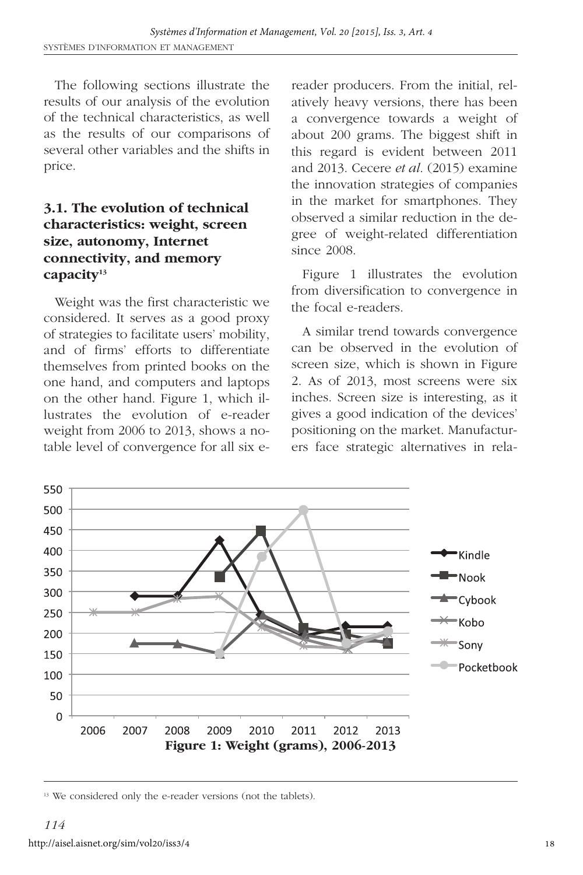The following sections illustrate the results of our analysis of the evolution of the technical characteristics, as well as the results of our comparisons of several other variables and the shifts in price.

#### **3.1. The evolution of technical characteristics: weight, screen size, autonomy, Internet connectivity, and memory capacity13**

Weight was the first characteristic we considered. It serves as a good proxy of strategies to facilitate users' mobility, and of firms' efforts to differentiate themselves from printed books on the one hand, and computers and laptops on the other hand. Figure 1, which illustrates the evolution of e-reader weight from 2006 to 2013, shows a notable level of convergence for all six ereader producers. From the initial, relatively heavy versions, there has been a convergence towards a weight of about 200 grams. The biggest shift in this regard is evident between 2011 and 2013. Cecere *et al*. (2015) examine the innovation strategies of companies in the market for smartphones. They observed a similar reduction in the degree of weight-related differentiation since 2008.

Figure 1 illustrates the evolution from diversification to convergence in the focal e-readers.

A similar trend towards convergence can be observed in the evolution of screen size, which is shown in Figure 2. As of 2013, most screens were six inches. Screen size is interesting, as it gives a good indication of the devices' positioning on the market. Manufacturers face strategic alternatives in rela-



<sup>&</sup>lt;sup>13</sup> We considered only the e-reader versions (not the tablets).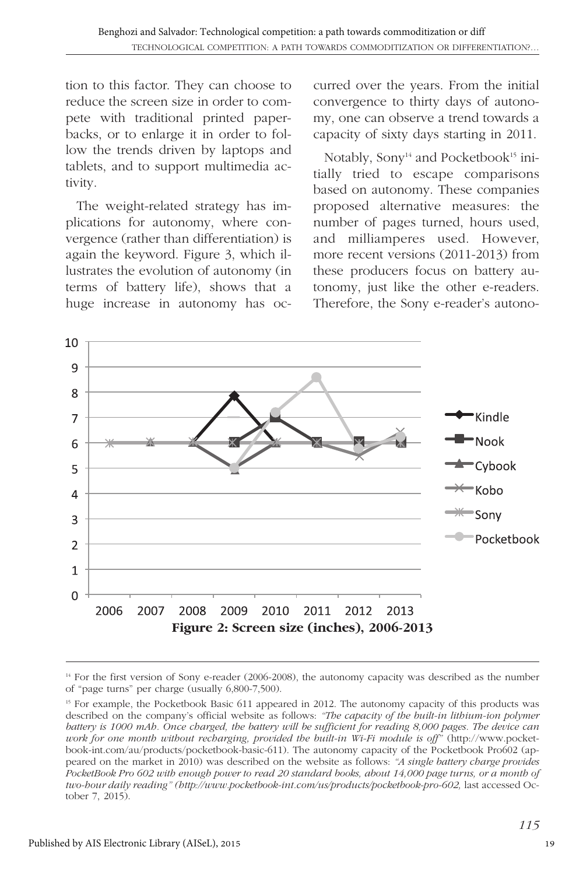tion to this factor. They can choose to reduce the screen size in order to compete with traditional printed paperbacks, or to enlarge it in order to follow the trends driven by laptops and tablets, and to support multimedia activity.

The weight-related strategy has implications for autonomy, where convergence (rather than differentiation) is again the keyword. Figure 3, which illustrates the evolution of autonomy (in terms of battery life), shows that a huge increase in autonomy has occurred over the years. From the initial convergence to thirty days of autonomy, one can observe a trend towards a capacity of sixty days starting in 2011.

Notably, Sony<sup>14</sup> and Pocketbook<sup>15</sup> initially tried to escape comparisons based on autonomy. These companies proposed alternative measures: the number of pages turned, hours used, and milliamperes used. However, more recent versions (2011-2013) from these producers focus on battery autonomy, just like the other e-readers. Therefore, the Sony e-reader's autono-



 $14$  For the first version of Sony e-reader (2006-2008), the autonomy capacity was described as the number of "page turns" per charge (usually 6,800-7,500).

<sup>&</sup>lt;sup>15</sup> For example, the Pocketbook Basic 611 appeared in 2012. The autonomy capacity of this products was described on the company's official website as follows: *"The capacity of the built-in lithium-ion polymer battery is 1000 mAh. Once charged, the battery will be sufficient for reading 8,000 pages. The device can work for one month without recharging, provided the built-in Wi-Fi module is off"* (http://www.pocketbook-int.com/au/products/pocketbook-basic-611). The autonomy capacity of the Pocketbook Pro602 (appeared on the market in 2010) was described on the website as follows: *"A single battery charge provides PocketBook Pro 602 with enough power to read 20 standard books, about 14,000 page turns, or a month of two-hour daily reading" (http://www.pocketbook-int.com/us/products/pocketbook-pro-602,* last accessed October 7, 2015).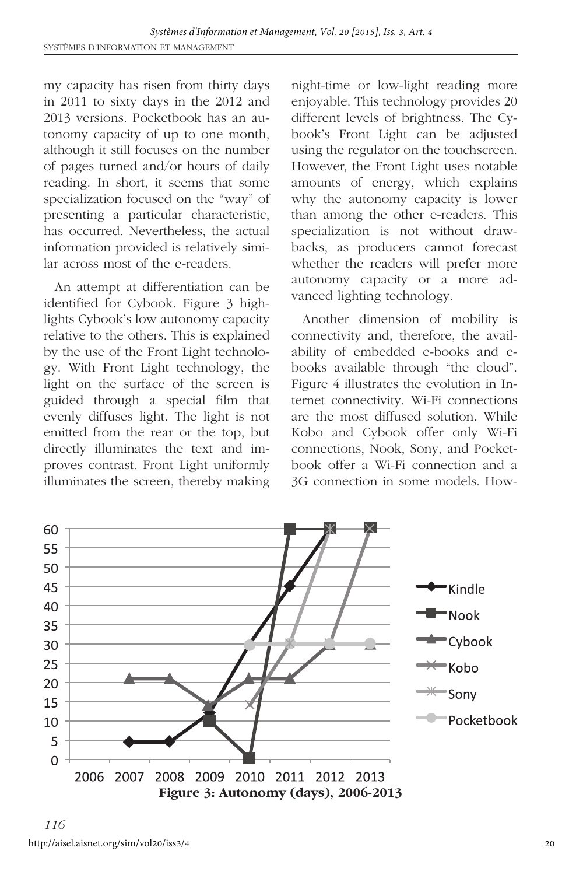my capacity has risen from thirty days in 2011 to sixty days in the 2012 and 2013 versions. Pocketbook has an autonomy capacity of up to one month, although it still focuses on the number of pages turned and/or hours of daily reading. In short, it seems that some specialization focused on the "way" of presenting a particular characteristic, has occurred. Nevertheless, the actual information provided is relatively similar across most of the e-readers.

An attempt at differentiation can be identified for Cybook. Figure 3 highlights Cybook's low autonomy capacity relative to the others. This is explained by the use of the Front Light technology. With Front Light technology, the light on the surface of the screen is guided through a special film that evenly diffuses light. The light is not emitted from the rear or the top, but directly illuminates the text and improves contrast. Front Light uniformly illuminates the screen, thereby making night-time or low-light reading more enjoyable. This technology provides 20 different levels of brightness. The Cybook's Front Light can be adjusted using the regulator on the touchscreen. However, the Front Light uses notable amounts of energy, which explains why the autonomy capacity is lower than among the other e-readers. This specialization is not without drawbacks, as producers cannot forecast whether the readers will prefer more autonomy capacity or a more advanced lighting technology.

Another dimension of mobility is connectivity and, therefore, the availability of embedded e-books and ebooks available through "the cloud". Figure 4 illustrates the evolution in Internet connectivity. Wi-Fi connections are the most diffused solution. While Kobo and Cybook offer only Wi-Fi connections, Nook, Sony, and Pocketbook offer a Wi-Fi connection and a 3G connection in some models. How-

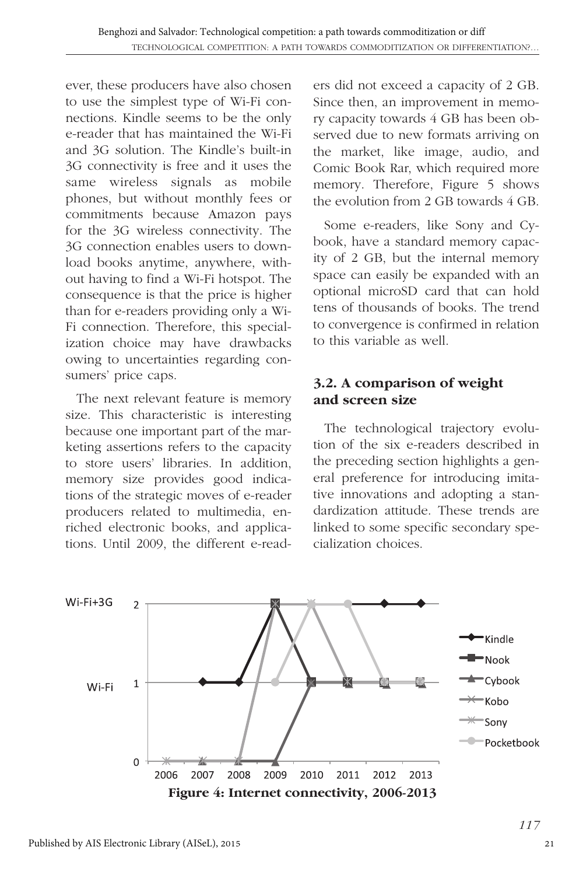ever, these producers have also chosen to use the simplest type of Wi-Fi connections. Kindle seems to be the only e-reader that has maintained the Wi-Fi and 3G solution. The Kindle's built-in 3G connectivity is free and it uses the same wireless signals as mobile phones, but without monthly fees or commitments because Amazon pays for the 3G wireless connectivity. The 3G connection enables users to download books anytime, anywhere, without having to find a Wi-Fi hotspot. The consequence is that the price is higher than for e-readers providing only a Wi-Fi connection. Therefore, this specialization choice may have drawbacks owing to uncertainties regarding consumers' price caps.

The next relevant feature is memory size. This characteristic is interesting because one important part of the marketing assertions refers to the capacity to store users' libraries. In addition, memory size provides good indications of the strategic moves of e-reader producers related to multimedia, enriched electronic books, and applications. Until 2009, the different e-read-

ers did not exceed a capacity of 2 GB. Since then, an improvement in memory capacity towards 4 GB has been observed due to new formats arriving on the market, like image, audio, and Comic Book Rar, which required more memory. Therefore, Figure 5 shows the evolution from 2 GB towards 4 GB.

Some e-readers, like Sony and Cybook, have a standard memory capacity of 2 GB, but the internal memory space can easily be expanded with an optional microSD card that can hold tens of thousands of books. The trend to convergence is confirmed in relation to this variable as well.

#### **3.2. A comparison of weight and screen size**

The technological trajectory evolution of the six e-readers described in the preceding section highlights a general preference for introducing imitative innovations and adopting a standardization attitude. These trends are linked to some specific secondary specialization choices.

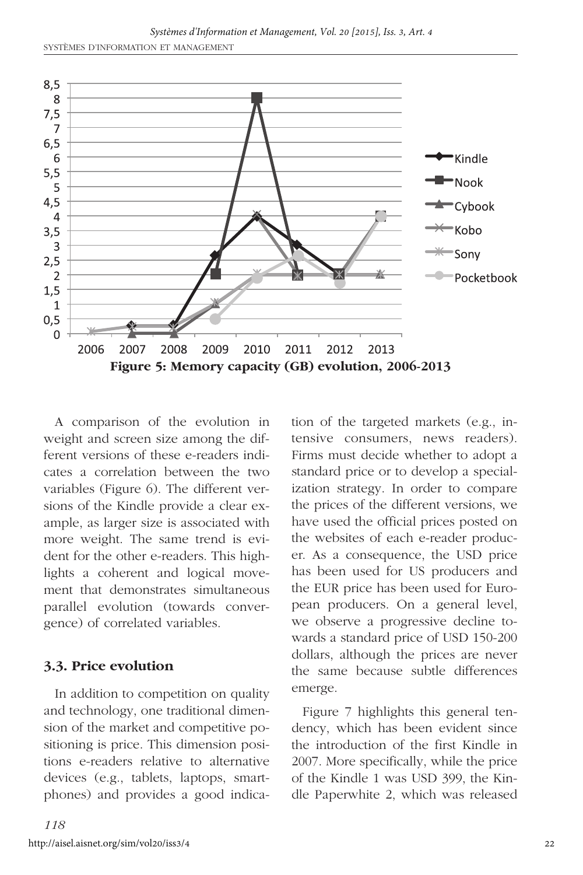

A comparison of the evolution in weight and screen size among the different versions of these e-readers indicates a correlation between the two variables (Figure 6). The different versions of the Kindle provide a clear example, as larger size is associated with more weight. The same trend is evident for the other e-readers. This highlights a coherent and logical movement that demonstrates simultaneous parallel evolution (towards convergence) of correlated variables.

### **3.3. Price evolution**

In addition to competition on quality and technology, one traditional dimension of the market and competitive positioning is price. This dimension positions e-readers relative to alternative devices (e.g., tablets, laptops, smartphones) and provides a good indication of the targeted markets (e.g., intensive consumers, news readers). Firms must decide whether to adopt a standard price or to develop a specialization strategy. In order to compare the prices of the different versions, we have used the official prices posted on the websites of each e-reader producer. As a consequence, the USD price has been used for US producers and the EUR price has been used for European producers. On a general level, we observe a progressive decline towards a standard price of USD 150-200 dollars, although the prices are never the same because subtle differences emerge.

Figure 7 highlights this general tendency, which has been evident since the introduction of the first Kindle in 2007. More specifically, while the price of the Kindle 1 was USD 399, the Kindle Paperwhite 2, which was released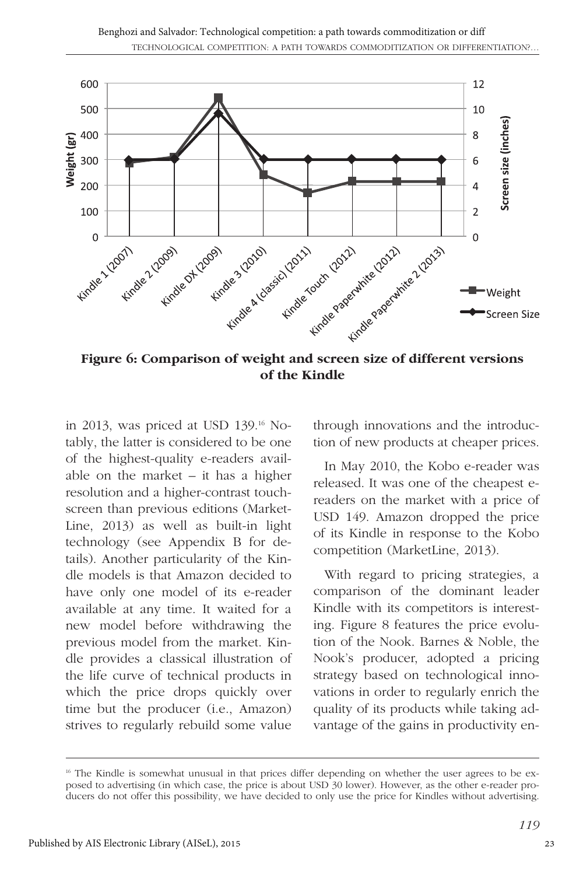

**Figure 6: Comparison of weight and screen size of different versions of the Kindle**

in 2013, was priced at USD 139.16 Notably, the latter is considered to be one of the highest-quality e-readers available on the market – it has a higher resolution and a higher-contrast touchscreen than previous editions (Market-Line, 2013) as well as built-in light technology (see Appendix B for details). Another particularity of the Kindle models is that Amazon decided to have only one model of its e-reader available at any time. It waited for a new model before withdrawing the previous model from the market. Kindle provides a classical illustration of the life curve of technical products in which the price drops quickly over time but the producer (i.e., Amazon) strives to regularly rebuild some value through innovations and the introduction of new products at cheaper prices.

In May 2010, the Kobo e-reader was released. It was one of the cheapest ereaders on the market with a price of USD 149. Amazon dropped the price of its Kindle in response to the Kobo competition (MarketLine, 2013).

With regard to pricing strategies, a comparison of the dominant leader Kindle with its competitors is interesting. Figure 8 features the price evolution of the Nook. Barnes & Noble, the Nook's producer, adopted a pricing strategy based on technological innovations in order to regularly enrich the quality of its products while taking advantage of the gains in productivity en-

<sup>&</sup>lt;sup>16</sup> The Kindle is somewhat unusual in that prices differ depending on whether the user agrees to be exposed to advertising (in which case, the price is about USD 30 lower). However, as the other e-reader producers do not offer this possibility, we have decided to only use the price for Kindles without advertising.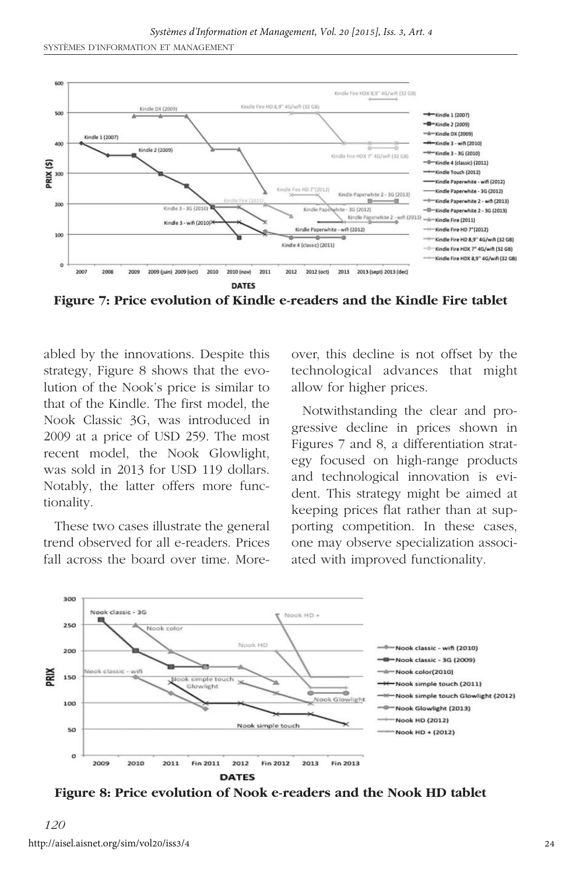

**Figure 7: Price evolution of Kindle e-readers and the Kindle Fire tablet**

abled by the innovations. Despite this strategy, Figure 8 shows that the evolution of the Nook's price is similar to that of the Kindle. The first model, the Nook Classic 3G, was introduced in 2009 at a price of USD 259. The most recent model, the Nook Glowlight, was sold in 2013 for USD 119 dollars. Notably, the latter offers more functionality.

These two cases illustrate the general trend observed for all e-readers. Prices fall across the board over time. Moreover, this decline is not offset by the technological advances that might allow for higher prices.

Notwithstanding the clear and progressive decline in prices shown in Figures 7 and 8, a differentiation strategy focused on high-range products and technological innovation is evident. This strategy might be aimed at keeping prices flat rather than at supporting competition. In these cases, one may observe specialization associated with improved functionality.



**Figure 8: Price evolution of Nook e-readers and the Nook HD tablet**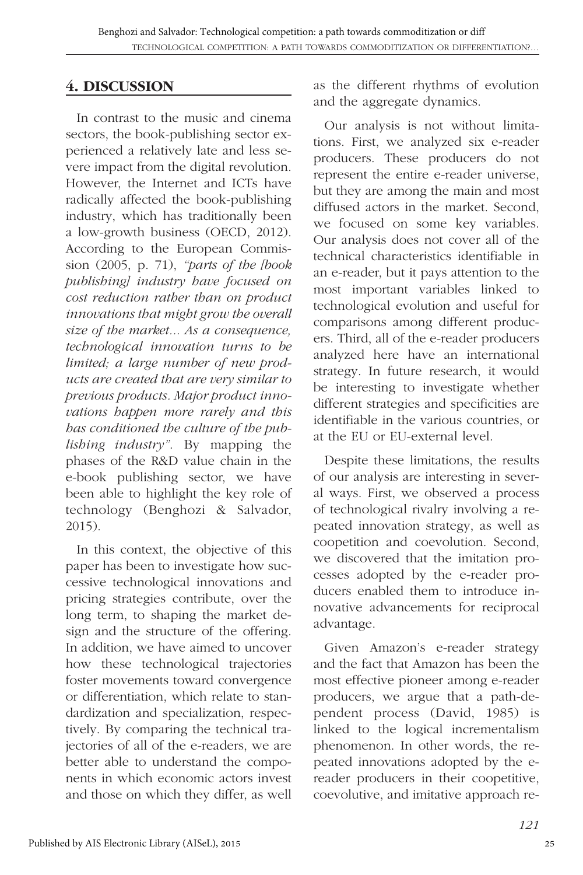# **4. DISCUSSION**

In contrast to the music and cinema sectors, the book-publishing sector experienced a relatively late and less severe impact from the digital revolution. However, the Internet and ICTs have radically affected the book-publishing industry, which has traditionally been a low-growth business (OECD, 2012). According to the European Commission (2005, p. 71), *"parts of the [book publishing] industry have focused on cost reduction rather than on product innovations that might grow the overall size of the market... As a consequence, technological innovation turns to be limited; a large number of new products are created that are very similar to previous products. Major product innovations happen more rarely and this has conditioned the culture of the publishing industry"*. By mapping the phases of the R&D value chain in the e-book publishing sector, we have been able to highlight the key role of technology (Benghozi & Salvador, 2015).

In this context, the objective of this paper has been to investigate how successive technological innovations and pricing strategies contribute, over the long term, to shaping the market design and the structure of the offering. In addition, we have aimed to uncover how these technological trajectories foster movements toward convergence or differentiation, which relate to standardization and specialization, respectively. By comparing the technical trajectories of all of the e-readers, we are better able to understand the components in which economic actors invest and those on which they differ, as well as the different rhythms of evolution and the aggregate dynamics.

Our analysis is not without limitations. First, we analyzed six e-reader producers. These producers do not represent the entire e-reader universe, but they are among the main and most diffused actors in the market. Second, we focused on some key variables. Our analysis does not cover all of the technical characteristics identifiable in an e-reader, but it pays attention to the most important variables linked to technological evolution and useful for comparisons among different producers. Third, all of the e-reader producers analyzed here have an international strategy. In future research, it would be interesting to investigate whether different strategies and specificities are identifiable in the various countries, or at the EU or EU-external level.

Despite these limitations, the results of our analysis are interesting in several ways. First, we observed a process of technological rivalry involving a repeated innovation strategy, as well as coopetition and coevolution. Second, we discovered that the imitation processes adopted by the e-reader producers enabled them to introduce innovative advancements for reciprocal advantage.

Given Amazon's e-reader strategy and the fact that Amazon has been the most effective pioneer among e-reader producers, we argue that a path-dependent process (David, 1985) is linked to the logical incrementalism phenomenon. In other words, the repeated innovations adopted by the ereader producers in their coopetitive, coevolutive, and imitative approach re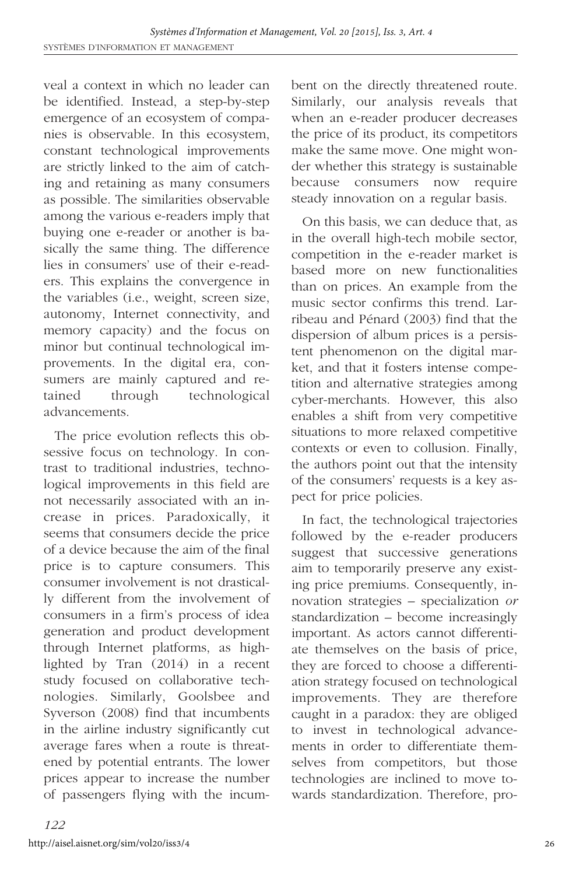veal a context in which no leader can be identified. Instead, a step-by-step emergence of an ecosystem of companies is observable. In this ecosystem, constant technological improvements are strictly linked to the aim of catching and retaining as many consumers as possible. The similarities observable among the various e-readers imply that buying one e-reader or another is basically the same thing. The difference lies in consumers' use of their e-readers. This explains the convergence in the variables (i.e., weight, screen size, autonomy, Internet connectivity, and memory capacity) and the focus on minor but continual technological improvements. In the digital era, consumers are mainly captured and retained through technological advancements.

The price evolution reflects this obsessive focus on technology. In contrast to traditional industries, technological improvements in this field are not necessarily associated with an increase in prices. Paradoxically, it seems that consumers decide the price of a device because the aim of the final price is to capture consumers. This consumer involvement is not drastically different from the involvement of consumers in a firm's process of idea generation and product development through Internet platforms, as highlighted by Tran (2014) in a recent study focused on collaborative technologies. Similarly, Goolsbee and Syverson (2008) find that incumbents in the airline industry significantly cut average fares when a route is threatened by potential entrants. The lower prices appear to increase the number of passengers flying with the incumbent on the directly threatened route. Similarly, our analysis reveals that when an e-reader producer decreases the price of its product, its competitors make the same move. One might wonder whether this strategy is sustainable because consumers now require steady innovation on a regular basis.

On this basis, we can deduce that, as in the overall high-tech mobile sector, competition in the e-reader market is based more on new functionalities than on prices. An example from the music sector confirms this trend. Larribeau and Pénard (2003) find that the dispersion of album prices is a persistent phenomenon on the digital market, and that it fosters intense competition and alternative strategies among cyber-merchants. However, this also enables a shift from very competitive situations to more relaxed competitive contexts or even to collusion. Finally, the authors point out that the intensity of the consumers' requests is a key aspect for price policies.

In fact, the technological trajectories followed by the e-reader producers suggest that successive generations aim to temporarily preserve any existing price premiums. Consequently, innovation strategies – specialization *or* standardization – become increasingly important. As actors cannot differentiate themselves on the basis of price, they are forced to choose a differentiation strategy focused on technological improvements. They are therefore caught in a paradox: they are obliged to invest in technological advancements in order to differentiate themselves from competitors, but those technologies are inclined to move towards standardization. Therefore, pro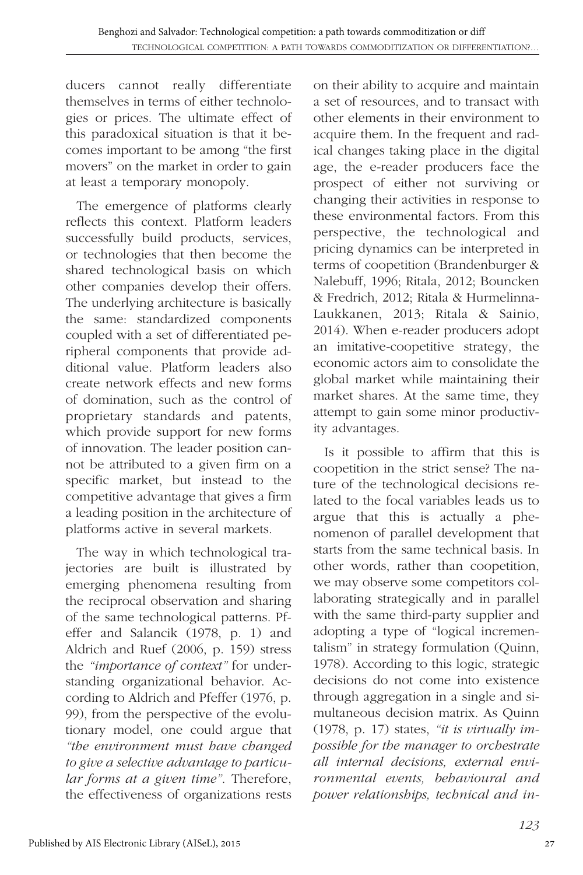ducers cannot really differentiate themselves in terms of either technologies or prices. The ultimate effect of this paradoxical situation is that it becomes important to be among "the first movers" on the market in order to gain at least a temporary monopoly.

The emergence of platforms clearly reflects this context. Platform leaders successfully build products, services, or technologies that then become the shared technological basis on which other companies develop their offers. The underlying architecture is basically the same: standardized components coupled with a set of differentiated peripheral components that provide additional value. Platform leaders also create network effects and new forms of domination, such as the control of proprietary standards and patents, which provide support for new forms of innovation. The leader position cannot be attributed to a given firm on a specific market, but instead to the competitive advantage that gives a firm a leading position in the architecture of platforms active in several markets.

The way in which technological trajectories are built is illustrated by emerging phenomena resulting from the reciprocal observation and sharing of the same technological patterns. Pfeffer and Salancik (1978, p. 1) and Aldrich and Ruef (2006, p. 159) stress the *"importance of context"* for understanding organizational behavior. According to Aldrich and Pfeffer (1976, p. 99), from the perspective of the evolutionary model, one could argue that *"the environment must have changed to give a selective advantage to particular forms at a given time"*. Therefore, the effectiveness of organizations rests

on their ability to acquire and maintain a set of resources, and to transact with other elements in their environment to acquire them. In the frequent and radical changes taking place in the digital age, the e-reader producers face the prospect of either not surviving or changing their activities in response to these environmental factors. From this perspective, the technological and pricing dynamics can be interpreted in terms of coopetition (Brandenburger & Nalebuff, 1996; Ritala, 2012; Bouncken & Fredrich, 2012; Ritala & Hurmelinna-Laukkanen, 2013; Ritala & Sainio, 2014). When e-reader producers adopt an imitative-coopetitive strategy, the economic actors aim to consolidate the global market while maintaining their market shares. At the same time, they attempt to gain some minor productivity advantages.

Is it possible to affirm that this is coopetition in the strict sense? The nature of the technological decisions related to the focal variables leads us to argue that this is actually a phenomenon of parallel development that starts from the same technical basis. In other words, rather than coopetition, we may observe some competitors collaborating strategically and in parallel with the same third-party supplier and adopting a type of "logical incrementalism" in strategy formulation (Quinn, 1978). According to this logic, strategic decisions do not come into existence through aggregation in a single and simultaneous decision matrix. As Quinn (1978, p. 17) states, *"it is virtually impossible for the manager to orchestrate all internal decisions, external environmental events, behavioural and power relationships, technical and in-*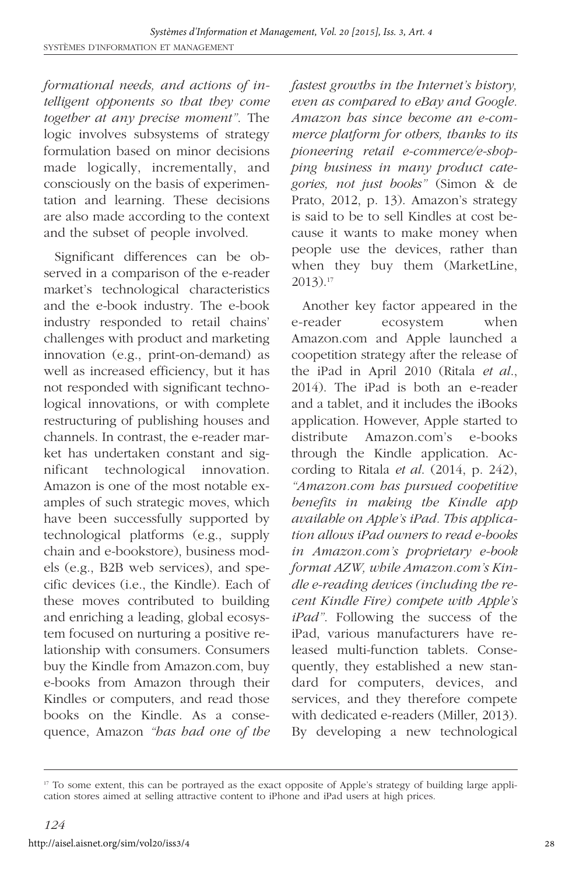*formational needs, and actions of intelligent opponents so that they come together at any precise moment"*. The logic involves subsystems of strategy formulation based on minor decisions made logically, incrementally, and consciously on the basis of experimentation and learning. These decisions are also made according to the context and the subset of people involved.

Significant differences can be observed in a comparison of the e-reader market's technological characteristics and the e-book industry. The e-book industry responded to retail chains' challenges with product and marketing innovation (e.g., print-on-demand) as well as increased efficiency, but it has not responded with significant technological innovations, or with complete restructuring of publishing houses and channels. In contrast, the e-reader market has undertaken constant and significant technological innovation. Amazon is one of the most notable examples of such strategic moves, which have been successfully supported by technological platforms (e.g., supply chain and e-bookstore), business models (e.g., B2B web services), and specific devices (i.e., the Kindle). Each of these moves contributed to building and enriching a leading, global ecosystem focused on nurturing a positive relationship with consumers. Consumers buy the Kindle from Amazon.com, buy e-books from Amazon through their Kindles or computers, and read those books on the Kindle. As a consequence, Amazon *"has had one of the* *fastest growths in the Internet's history, even as compared to eBay and Google. Amazon has since become an e-commerce platform for others, thanks to its pioneering retail e-commerce/e-shopping business in many product categories, not just books"* (Simon & de Prato, 2012, p. 13). Amazon's strategy is said to be to sell Kindles at cost because it wants to make money when people use the devices, rather than when they buy them (MarketLine, 2013).17

Another key factor appeared in the e-reader ecosystem when Amazon.com and Apple launched a coopetition strategy after the release of the iPad in April 2010 (Ritala *et al*., 2014). The iPad is both an e-reader and a tablet, and it includes the iBooks application. However, Apple started to distribute Amazon.com's e-books through the Kindle application. According to Ritala *et al*. (2014, p. 242), *"Amazon.com has pursued coopetitive benefits in making the Kindle app available on Apple's iPad. This application allows iPad owners to read e-books in Amazon.com's proprietary e-book format AZW, while Amazon.com's Kindle e-reading devices (including the recent Kindle Fire) compete with Apple's iPad"*. Following the success of the iPad, various manufacturers have released multi-function tablets. Consequently, they established a new standard for computers, devices, and services, and they therefore compete with dedicated e-readers (Miller, 2013). By developing a new technological

<sup>&</sup>lt;sup>17</sup> To some extent, this can be portrayed as the exact opposite of Apple's strategy of building large application stores aimed at selling attractive content to iPhone and iPad users at high prices.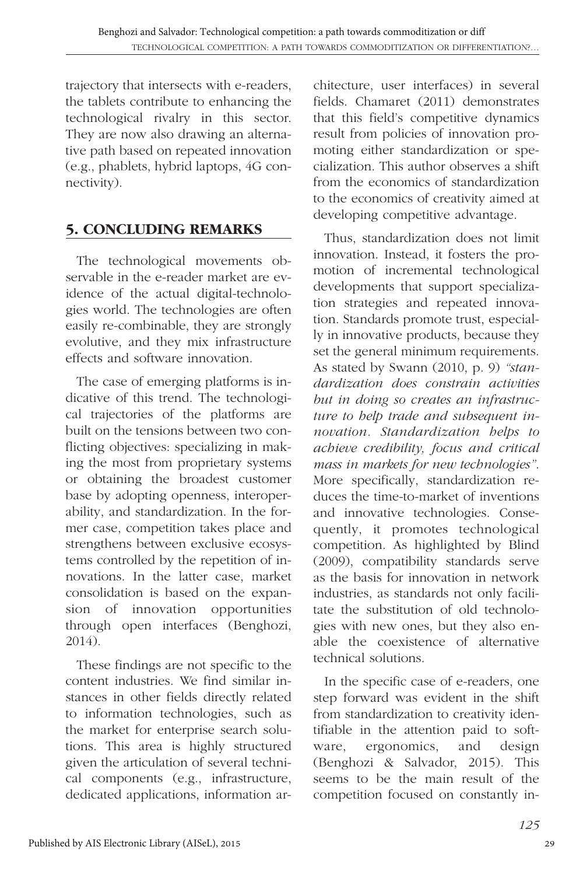trajectory that intersects with e-readers, the tablets contribute to enhancing the technological rivalry in this sector. They are now also drawing an alternative path based on repeated innovation (e.g., phablets, hybrid laptops, 4G connectivity).

# **5. CONCLUDING REMARKS**

The technological movements observable in the e-reader market are evidence of the actual digital-technologies world. The technologies are often easily re-combinable, they are strongly evolutive, and they mix infrastructure effects and software innovation.

The case of emerging platforms is indicative of this trend. The technological trajectories of the platforms are built on the tensions between two conflicting objectives: specializing in making the most from proprietary systems or obtaining the broadest customer base by adopting openness, interoperability, and standardization. In the former case, competition takes place and strengthens between exclusive ecosystems controlled by the repetition of innovations. In the latter case, market consolidation is based on the expansion of innovation opportunities through open interfaces (Benghozi, 2014).

These findings are not specific to the content industries. We find similar instances in other fields directly related to information technologies, such as the market for enterprise search solutions. This area is highly structured given the articulation of several technical components (e.g., infrastructure, dedicated applications, information ar-

chitecture, user interfaces) in several fields. Chamaret (2011) demonstrates that this field's competitive dynamics result from policies of innovation promoting either standardization or specialization. This author observes a shift from the economics of standardization to the economics of creativity aimed at developing competitive advantage.

Thus, standardization does not limit innovation. Instead, it fosters the promotion of incremental technological developments that support specialization strategies and repeated innovation. Standards promote trust, especially in innovative products, because they set the general minimum requirements. As stated by Swann (2010, p. 9) *"standardization does constrain activities but in doing so creates an infrastructure to help trade and subsequent innovation. Standardization helps to achieve credibility, focus and critical mass in markets for new technologies"*. More specifically, standardization reduces the time-to-market of inventions and innovative technologies. Consequently, it promotes technological competition. As highlighted by Blind (2009), compatibility standards serve as the basis for innovation in network industries, as standards not only facilitate the substitution of old technologies with new ones, but they also enable the coexistence of alternative technical solutions.

In the specific case of e-readers, one step forward was evident in the shift from standardization to creativity identifiable in the attention paid to software, ergonomics, and design (Benghozi & Salvador, 2015). This seems to be the main result of the competition focused on constantly in-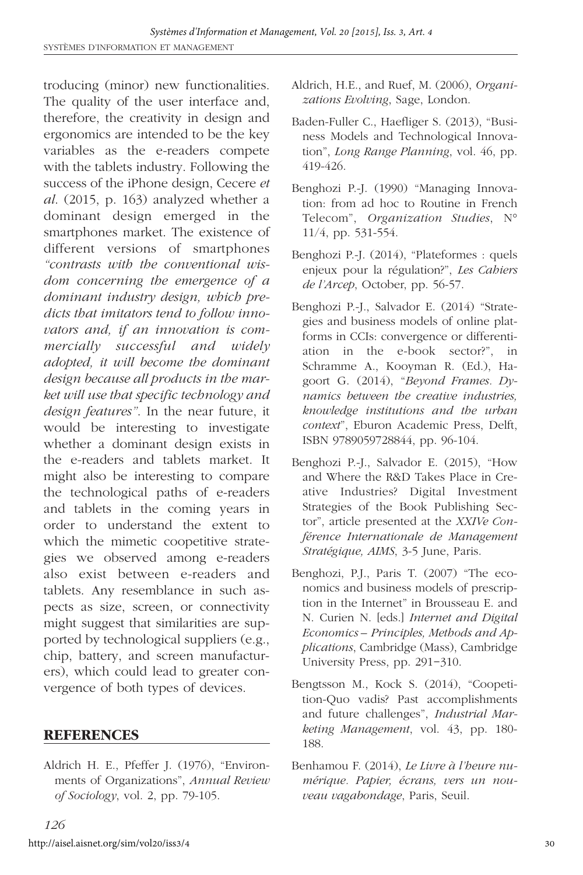troducing (minor) new functionalities. The quality of the user interface and, therefore, the creativity in design and ergonomics are intended to be the key variables as the e-readers compete with the tablets industry. Following the success of the iPhone design, Cecere *et al*. (2015, p. 163) analyzed whether a dominant design emerged in the smartphones market. The existence of different versions of smartphones *"contrasts with the conventional wisdom concerning the emergence of a dominant industry design, which predicts that imitators tend to follow innovators and, if an innovation is commercially successful and widely adopted, it will become the dominant design because all products in the market will use that specific technology and design features"*. In the near future, it would be interesting to investigate whether a dominant design exists in the e-readers and tablets market. It might also be interesting to compare the technological paths of e-readers and tablets in the coming years in order to understand the extent to which the mimetic coopetitive strategies we observed among e-readers also exist between e-readers and tablets. Any resemblance in such aspects as size, screen, or connectivity might suggest that similarities are supported by technological suppliers (e.g., chip, battery, and screen manufacturers), which could lead to greater convergence of both types of devices.

#### **REFERENCES**

Aldrich H. E., Pfeffer J. (1976), "Environments of Organizations", *Annual Review of Sociology*, vol. 2, pp. 79-105.

http://aisel.aisnet.org/sim/vol20/iss3/4

- Aldrich, H.E., and Ruef, M. (2006), *Organizations Evolving*, Sage, London.
- Baden-Fuller C., Haefliger S. (2013), "Business Models and Technological Innovation", *Long Range Planning*, vol. 46, pp. 419-426.
- Benghozi P.-J. (1990) "Managing Innovation: from ad hoc to Routine in French Telecom", *Organization Studies*, N° 11/4, pp. 531-554.
- Benghozi P.-J. (2014), "Plateformes : quels enjeux pour la régulation?", *Les Cahiers de l'Arcep*, October, pp. 56-57.
- Benghozi P.-J., Salvador E. (2014) "Strategies and business models of online platforms in CCIs: convergence or differentiation in the e-book sector?", in Schramme A., Kooyman R. (Ed.), Hagoort G. (2014), "*Beyond Frames. Dynamics between the creative industries, knowledge institutions and the urban context*", Eburon Academic Press, Delft, ISBN 9789059728844, pp. 96-104.
- Benghozi P.-J., Salvador E. (2015), "How and Where the R&D Takes Place in Creative Industries? Digital Investment Strategies of the Book Publishing Sector", article presented at the *XXIVe Conférence Internationale de Management Stratégique, AIMS*, 3-5 June, Paris.
- Benghozi, P.J., Paris T. (2007) "The economics and business models of prescription in the Internet" in Brousseau E. and N. Curien N. [eds.] *Internet and Digital Economics – Principles, Methods and Applications*, Cambridge (Mass), Cambridge University Press, pp. 291−310.
- Bengtsson M., Kock S. (2014), "Coopetition-Quo vadis? Past accomplishments and future challenges", *Industrial Marketing Management*, vol. 43, pp. 180- 188.
- Benhamou F. (2014), *Le Livre à l'heure numérique. Papier, écrans, vers un nouveau vagabondage*, Paris, Seuil.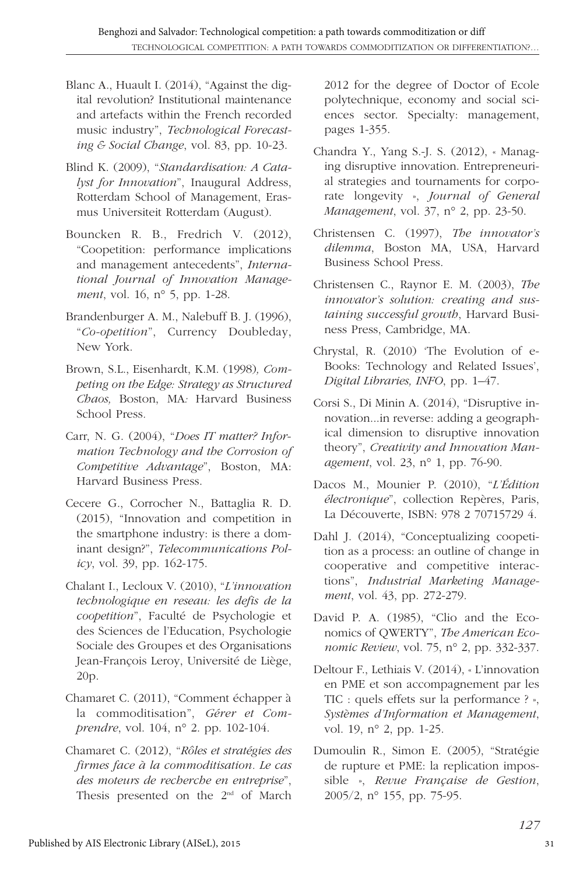- Blanc A., Huault I. (2014), "Against the digital revolution? Institutional maintenance and artefacts within the French recorded music industry", *Technological Forecasting & Social Change*, vol. 83, pp. 10-23.
- Blind K. (2009), "*Standardisation: A Catalyst for Innovation*", Inaugural Address, Rotterdam School of Management, Erasmus Universiteit Rotterdam (August).
- Bouncken R. B., Fredrich V. (2012), "Coopetition: performance implications and management antecedents", *International Journal of Innovation Management*, vol. 16, n° 5, pp. 1-28.
- Brandenburger A. M., Nalebuff B. J. (1996), "*Co-opetition*", Currency Doubleday, New York.
- Brown, S.L., Eisenhardt, K.M. (1998)*, Competing on the Edge: Strategy as Structured Chaos,* Boston, MA*:* Harvard Business School Press*.*
- Carr, N. G. (2004), "*Does IT matter? Information Technology and the Corrosion of Competitive Advantage*", Boston, MA: Harvard Business Press.
- Cecere G., Corrocher N., Battaglia R. D. (2015), "Innovation and competition in the smartphone industry: is there a dominant design?", *Telecommunications Policy*, vol. 39, pp. 162-175.
- Chalant I., Lecloux V. (2010), "*L'innovation technologique en reseau: les defis de la coopetition*", Faculté de Psychologie et des Sciences de l'Education, Psychologie Sociale des Groupes et des Organisations Jean-François Leroy, Université de Liège, 20p.
- Chamaret C. (2011), "Comment échapper à la commoditisation", *Gérer et Comprendre*, vol. 104, n° 2. pp. 102-104.
- Chamaret C. (2012), "*Rôles et stratégies des firmes face à la commoditisation. Le cas des moteurs de recherche en entreprise*", Thesis presented on the  $2<sup>nd</sup>$  of March

2012 for the degree of Doctor of Ecole polytechnique, economy and social sciences sector. Specialty: management, pages 1-355.

- Chandra Y., Yang S.-J. S. (2012), « Managing disruptive innovation. Entrepreneurial strategies and tournaments for corporate longevity », *Journal of General Management*, vol. 37, n° 2, pp. 23-50.
- Christensen C. (1997), *The innovator's dilemma*, Boston MA, USA, Harvard Business School Press.
- Christensen C., Raynor E. M. (2003), *The innovator's solution: creating and sustaining successful growth*, Harvard Business Press, Cambridge, MA.
- Chrystal, R. (2010) 'The Evolution of e-Books: Technology and Related Issues', *Digital Libraries, INFO*, pp. 1–47.
- Corsi S., Di Minin A. (2014), "Disruptive innovation...in reverse: adding a geographical dimension to disruptive innovation theory", *Creativity and Innovation Management*, vol. 23, n° 1, pp. 76-90.
- Dacos M., Mounier P. (2010), "*L'Édition électronique*", collection Repères, Paris, La Découverte, ISBN: 978 2 70715729 4.
- Dahl J. (2014), "Conceptualizing coopetition as a process: an outline of change in cooperative and competitive interactions", *Industrial Marketing Management*, vol. 43, pp. 272-279.
- David P. A. (1985), "Clio and the Economics of QWERTY", *The American Economic Review*, vol. 75, n° 2, pp. 332-337.
- Deltour F., Lethiais V. (2014), « L'innovation en PME et son accompagnement par les TIC : quels effets sur la performance ? », *Systèmes d'Information et Management*, vol. 19, n° 2, pp. 1-25.
- Dumoulin R., Simon E. (2005), "Stratégie de rupture et PME: la replication impossible », *Revue Française de Gestion*, 2005/2, n° 155, pp. 75-95.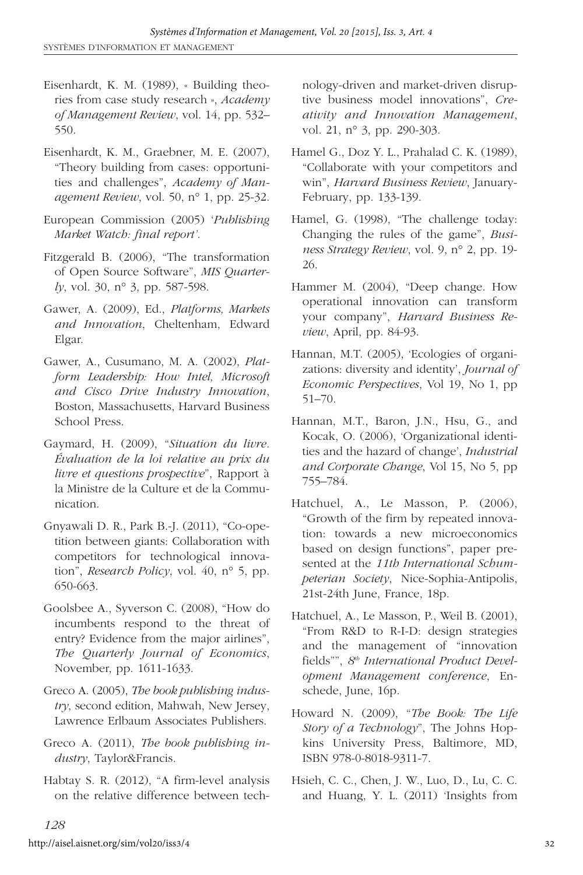- Eisenhardt, K. M. (1989), « Building theories from case study research », *Academy of Management Review*, vol. 14, pp. 532– 550.
- Eisenhardt, K. M., Graebner, M. E. (2007), "Theory building from cases: opportunities and challenges", *Academy of Management Review*, vol. 50, n° 1, pp. 25-32.
- European Commission (2005) '*Publishing Market Watch: final report'*.
- Fitzgerald B. (2006), "The transformation of Open Source Software", *MIS Quarterly*, vol. 30, n° 3, pp. 587-598.
- Gawer, A. (2009), Ed., *Platforms, Markets and Innovation*, Cheltenham, Edward Elgar.
- Gawer, A., Cusumano, M. A. (2002), *Platform Leadership: How Intel, Microsoft and Cisco Drive Industry Innovation*, Boston, Massachusetts, Harvard Business School Press.
- Gaymard, H. (2009), "*Situation du livre. Évaluation de la loi relative au prix du livre et questions prospective*", Rapport à la Ministre de la Culture et de la Communication.
- Gnyawali D. R., Park B.-J. (2011), "Co-opetition between giants: Collaboration with competitors for technological innovation", *Research Policy*, vol. 40, n° 5, pp. 650-663.
- Goolsbee A., Syverson C. (2008), "How do incumbents respond to the threat of entry? Evidence from the major airlines", *The Quarterly Journal of Economics*, November, pp. 1611-1633.
- Greco A. (2005), *The book publishing industry*, second edition, Mahwah, New Jersey, Lawrence Erlbaum Associates Publishers.
- Greco A. (2011), *The book publishing industry*, Taylor&Francis.
- Habtay S. R. (2012), "A firm-level analysis on the relative difference between tech-

nology-driven and market-driven disruptive business model innovations", *Creativity and Innovation Management*, vol. 21, n° 3, pp. 290-303.

- Hamel G., Doz Y. L., Prahalad C. K. (1989), "Collaborate with your competitors and win", *Harvard Business Review*, January-February, pp. 133-139.
- Hamel, G. (1998), "The challenge today: Changing the rules of the game", *Business Strategy Review*, vol. 9, n° 2, pp. 19- 26.
- Hammer M. (2004), "Deep change. How operational innovation can transform your company", *Harvard Business Review*, April, pp. 84-93.
- Hannan, M.T. (2005), 'Ecologies of organizations: diversity and identity', *Journal of Economic Perspectives*, Vol 19, No 1, pp 51–70.
- Hannan, M.T., Baron, J.N., Hsu, G., and Kocak, O. (2006), 'Organizational identities and the hazard of change', *Industrial and Corporate Change*, Vol 15, No 5, pp 755–784.
- Hatchuel, A., Le Masson, P. (2006), "Growth of the firm by repeated innovation: towards a new microeconomics based on design functions", paper presented at the *11th International Schumpeterian Society*, Nice-Sophia-Antipolis, 21st-24th June, France, 18p.
- Hatchuel, A., Le Masson, P., Weil B. (2001), "From R&D to R-I-D: design strategies and the management of "innovation fields"", *8th International Product Development Management conference*, Enschede, June, 16p.
- Howard N. (2009), "*The Book: The Life Story of a Technology*", The Johns Hopkins University Press, Baltimore, MD, ISBN 978-0-8018-9311-7.
- Hsieh, C. C., Chen, J. W., Luo, D., Lu, C. C. and Huang, Y. L. (2011) 'Insights from

*128*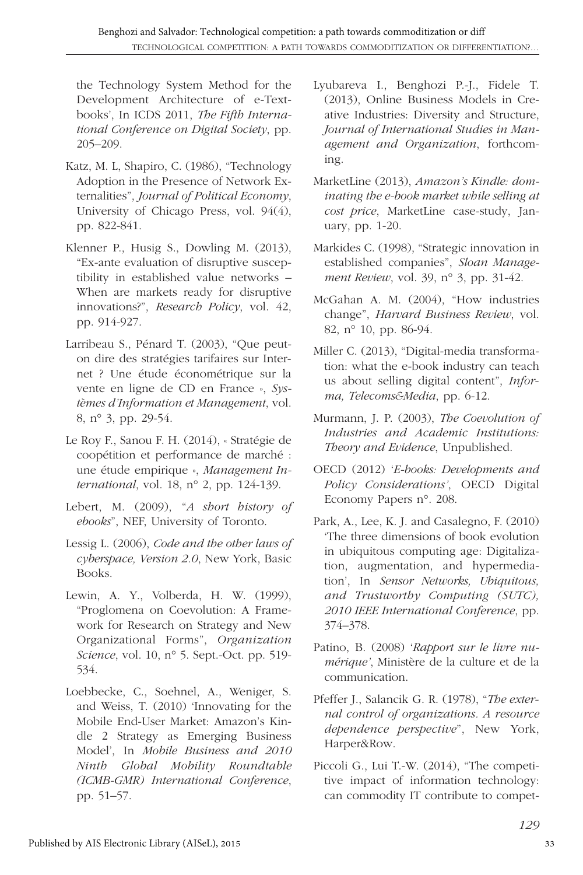the Technology System Method for the Development Architecture of e-Textbooks', In ICDS 2011, *The Fifth International Conference on Digital Society*, pp. 205–209.

- Katz, M. L, Shapiro, C. (1986), "Technology Adoption in the Presence of Network Externalities", *Journal of Political Economy*, University of Chicago Press, vol. 94(4), pp. 822-841.
- Klenner P., Husig S., Dowling M. (2013), "Ex-ante evaluation of disruptive susceptibility in established value networks – When are markets ready for disruptive innovations?", *Research Policy*, vol. 42, pp. 914-927.
- Larribeau S., Pénard T. (2003), "Que peuton dire des stratégies tarifaires sur Internet ? Une étude économétrique sur la vente en ligne de CD en France », *Systèmes d'Information et Management*, vol. 8, n° 3, pp. 29-54.
- Le Roy F., Sanou F. H. (2014), « Stratégie de coopétition et performance de marché : une étude empirique », *Management International*, vol. 18, n° 2, pp. 124-139.
- Lebert, M. (2009), "*A short history of ebooks*", NEF, University of Toronto.
- Lessig L. (2006), *Code and the other laws of cyberspace, Version 2.0*, New York, Basic Books.
- Lewin, A. Y., Volberda, H. W. (1999), "Proglomena on Coevolution: A Framework for Research on Strategy and New Organizational Forms", *Organization Science*, vol. 10, n° 5. Sept.-Oct. pp. 519- 534.
- Loebbecke, C., Soehnel, A., Weniger, S. and Weiss, T. (2010) 'Innovating for the Mobile End-User Market: Amazon's Kindle 2 Strategy as Emerging Business Model', In *Mobile Business and 2010 Ninth Global Mobility Roundtable (ICMB-GMR) International Conference*, pp. 51–57.
- Lyubareva I., Benghozi P.-J., Fidele T. (2013), Online Business Models in Creative Industries: Diversity and Structure, *Journal of International Studies in Management and Organization*, forthcoming.
- MarketLine (2013), *Amazon's Kindle: dominating the e-book market while selling at cost price*, MarketLine case-study, January, pp. 1-20.
- Markides C. (1998), "Strategic innovation in established companies", *Sloan Management Review*, vol. 39, n° 3, pp. 31-42.
- McGahan A. M. (2004), "How industries change", *Harvard Business Review*, vol. 82, n° 10, pp. 86-94.
- Miller C. (2013), "Digital-media transformation: what the e-book industry can teach us about selling digital content", *Informa, Telecoms&Media*, pp. 6-12.
- Murmann, J. P. (2003), *The Coevolution of Industries and Academic Institutions: Theory and Evidence*, Unpublished.
- OECD (2012) '*E-books: Developments and Policy Considerations'*, OECD Digital Economy Papers n°. 208.
- Park, A., Lee, K. J. and Casalegno, F. (2010) 'The three dimensions of book evolution in ubiquitous computing age: Digitalization, augmentation, and hypermediation', In *Sensor Networks, Ubiquitous, and Trustworthy Computing (SUTC), 2010 IEEE International Conference*, pp. 374–378.
- Patino, B. (2008) '*Rapport sur le livre numérique'*, Ministère de la culture et de la communication.
- Pfeffer J., Salancik G. R. (1978), "*The external control of organizations. A resource dependence perspective*", New York, Harper&Row.
- Piccoli G., Lui T.-W. (2014), "The competitive impact of information technology: can commodity IT contribute to compet-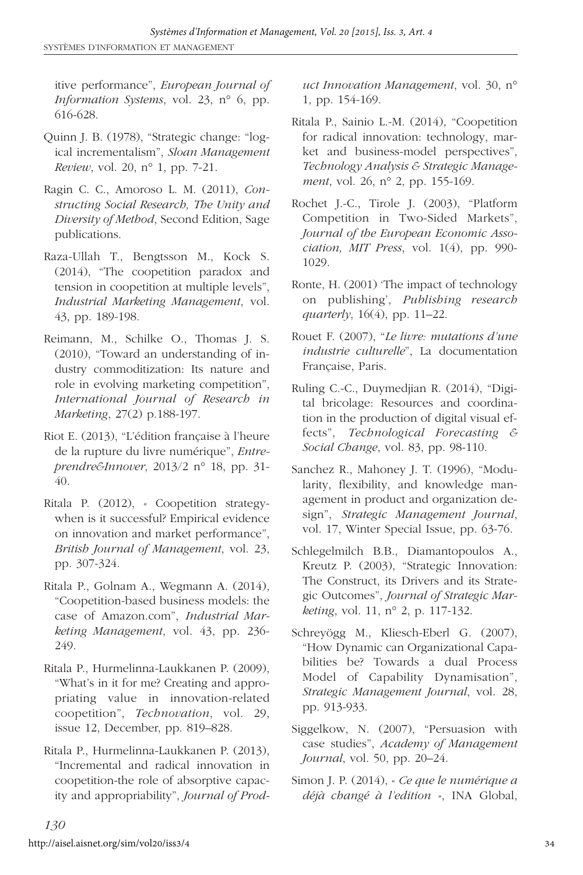itive performance", *European Journal of Information Systems*, vol. 23, n° 6, pp. 616-628.

- Quinn J. B. (1978), "Strategic change: "logical incrementalism", *Sloan Management Review*, vol. 20, n° 1, pp. 7-21.
- Ragin C. C., Amoroso L. M. (2011), *Constructing Social Research, The Unity and Diversity of Method*, Second Edition, Sage publications.
- Raza-Ullah T., Bengtsson M., Kock S. (2014), "The coopetition paradox and tension in coopetition at multiple levels", *Industrial Marketing Management*, vol. 43, pp. 189-198.
- Reimann, M., Schilke O., Thomas J. S. (2010), "Toward an understanding of industry commoditization: Its nature and role in evolving marketing competition", *International Journal of Research in Marketing*, 27(2) p.188-197.
- Riot E. (2013), "L'édition française à l'heure de la rupture du livre numérique", *Entreprendre&Innover*, 2013/2 n° 18, pp. 31- 40.
- Ritala P. (2012), « Coopetition strategywhen is it successful? Empirical evidence on innovation and market performance", *British Journal of Management*, vol. 23, pp. 307-324.
- Ritala P., Golnam A., Wegmann A. (2014), "Coopetition-based business models: the case of Amazon.com", *Industrial Marketing Management*, vol. 43, pp. 236- 249.
- Ritala P., Hurmelinna-Laukkanen P. (2009), "What's in it for me? Creating and appropriating value in innovation-related coopetition", *Technovation*, vol. 29, issue 12, December, pp. 819–828.
- Ritala P., Hurmelinna-Laukkanen P. (2013), "Incremental and radical innovation in coopetition-the role of absorptive capacity and appropriability", *Journal of Prod-*

*uct Innovation Management*, vol. 30, n° 1, pp. 154-169.

- Ritala P., Sainio L.-M. (2014), "Coopetition for radical innovation: technology, market and business-model perspectives", *Technology Analysis & Strategic Management*, vol. 26, n° 2, pp. 155-169.
- Rochet J.-C., Tirole J. (2003), "Platform Competition in Two-Sided Markets", *Journal of the European Economic Association, MIT Press*, vol. 1(4), pp. 990- 1029.
- Ronte, H. (2001) 'The impact of technology on publishing', *Publishing research quarterly*, 16(4), pp. 11–22.
- Rouet F. (2007), "*Le livre: mutations d'une industrie culturelle*", La documentation Française, Paris.
- Ruling C.-C., Duymedjian R. (2014), "Digital bricolage: Resources and coordination in the production of digital visual effects", *Technological Forecasting & Social Change*, vol. 83, pp. 98-110.
- Sanchez R., Mahoney J. T. (1996), "Modularity, flexibility, and knowledge management in product and organization design", *Strategic Management Journal*, vol. 17, Winter Special Issue, pp. 63-76.
- Schlegelmilch B.B., Diamantopoulos A., Kreutz P. (2003), "Strategic Innovation: The Construct, its Drivers and its Strategic Outcomes", *Journal of Strategic Marketing*, vol. 11, n° 2, p. 117-132.
- Schreyögg M., Kliesch-Eberl G. (2007), "How Dynamic can Organizational Capabilities be? Towards a dual Process Model of Capability Dynamisation", *Strategic Management Journal*, vol. 28, pp. 913-933.
- Siggelkow, N. (2007), "Persuasion with case studies", *Academy of Management Journal*, vol. 50, pp. 20–24.
- Simon J. P. (2014), « *Ce que le numérique a déjà changé à l'edition* », INA Global,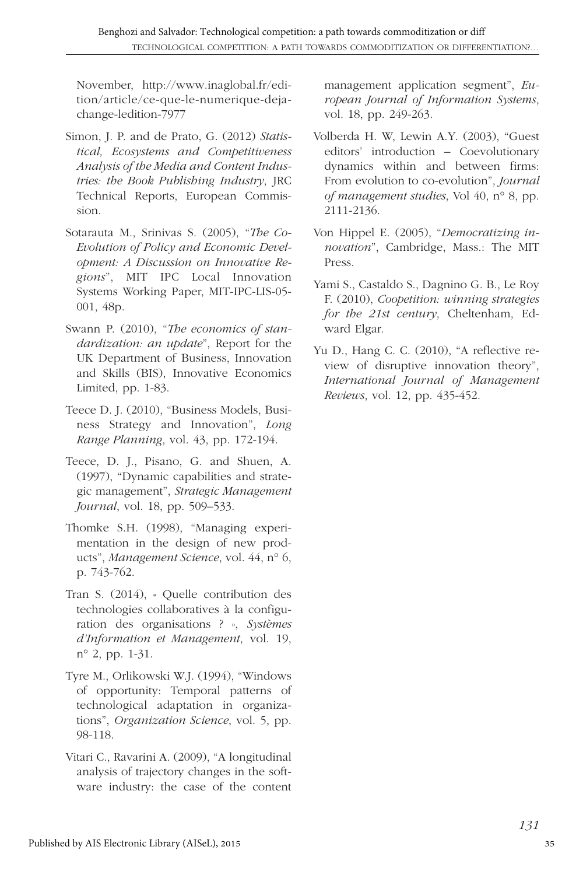November, http://www.inaglobal.fr/edition/article/ce-que-le-numerique-dejachange-ledition-7977

- Simon, J. P. and de Prato, G. (2012) *Statistical, Ecosystems and Competitiveness Analysis of the Media and Content Industries: the Book Publishing Industry*, JRC Technical Reports, European Commission.
- Sotarauta M., Srinivas S. (2005), "*The Co-Evolution of Policy and Economic Development: A Discussion on Innovative Regions*", MIT IPC Local Innovation Systems Working Paper, MIT-IPC-LIS-05- 001, 48p.
- Swann P. (2010), "*The economics of standardization: an update*", Report for the UK Department of Business, Innovation and Skills (BIS), Innovative Economics Limited, pp. 1-83.
- Teece D. J. (2010), "Business Models, Business Strategy and Innovation", *Long Range Planning*, vol. 43, pp. 172-194.
- Teece, D. J., Pisano, G. and Shuen, A. (1997), "Dynamic capabilities and strategic management", *Strategic Management Journal*, vol. 18, pp. 509–533.
- Thomke S.H. (1998), "Managing experimentation in the design of new products", *Management Science*, vol. 44, n° 6, p. 743-762.
- Tran S. (2014), « Quelle contribution des technologies collaboratives à la configuration des organisations ? », *Systèmes d'Information et Management*, vol. 19, n° 2, pp. 1-31.
- Tyre M., Orlikowski W.J. (1994), "Windows of opportunity: Temporal patterns of technological adaptation in organizations", *Organization Science*, vol. 5, pp. 98-118.
- Vitari C., Ravarini A. (2009), "A longitudinal analysis of trajectory changes in the software industry: the case of the content

management application segment", *European Journal of Information Systems*, vol. 18, pp. 249-263.

- Volberda H. W, Lewin A.Y. (2003), "Guest editors' introduction – Coevolutionary dynamics within and between firms: From evolution to co-evolution", *Journal of management studies*, Vol 40, n° 8, pp. 2111-2136.
- Von Hippel E. (2005), "*Democratizing innovation*", Cambridge, Mass.: The MIT Press.
- Yami S., Castaldo S., Dagnino G. B., Le Roy F. (2010), *Coopetition: winning strategies for the 21st century*, Cheltenham, Edward Elgar.
- Yu D., Hang C. C. (2010), "A reflective review of disruptive innovation theory", *International Journal of Management Reviews*, vol. 12, pp. 435-452.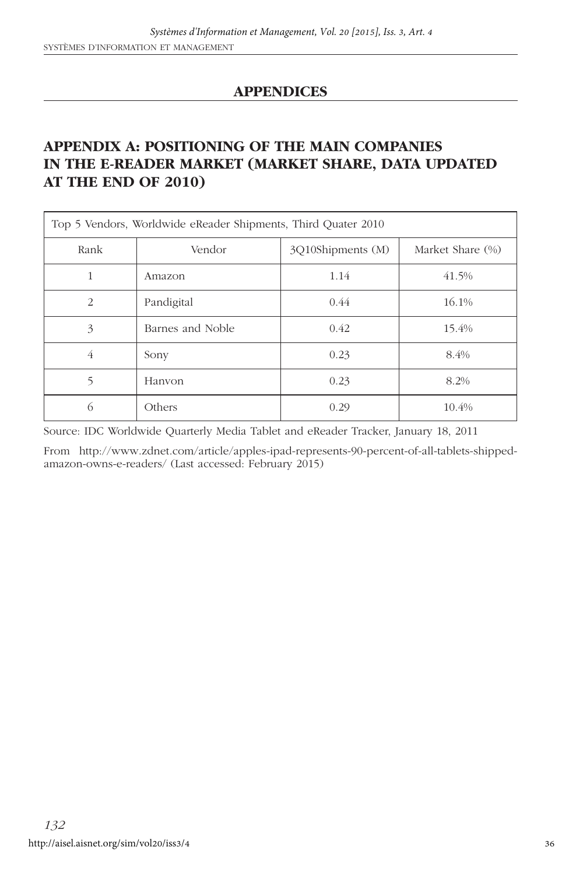#### **APPENDICES**

# **APPENDIX A: POSITIONING OF THE MAIN COMPANIES IN THE E-READER MARKET (MARKET SHARE, DATA UPDATED AT THE END OF 2010)**

| Top 5 Vendors, Worldwide eReader Shipments, Third Quater 2010 |                  |                   |                  |
|---------------------------------------------------------------|------------------|-------------------|------------------|
| Rank                                                          | Vendor           | 3Q10Shipments (M) | Market Share (%) |
|                                                               | Amazon           | 1.14              | 41.5%            |
| $\mathcal{L}$                                                 | Pandigital       | 0.44              | 16.1%            |
| 3                                                             | Barnes and Noble | 0.42              | 15.4%            |
| 4                                                             | Sony             | 0.23              | 8.4%             |
| $\varsigma$                                                   | Hanvon           | 0.23              | 8.2%             |
| (2)                                                           | Others           | 0.29              | 10.4%            |

Source: IDC Worldwide Quarterly Media Tablet and eReader Tracker, January 18, 2011

From http://www.zdnet.com/article/apples-ipad-represents-90-percent-of-all-tablets-shippedamazon-owns-e-readers/ (Last accessed: February 2015)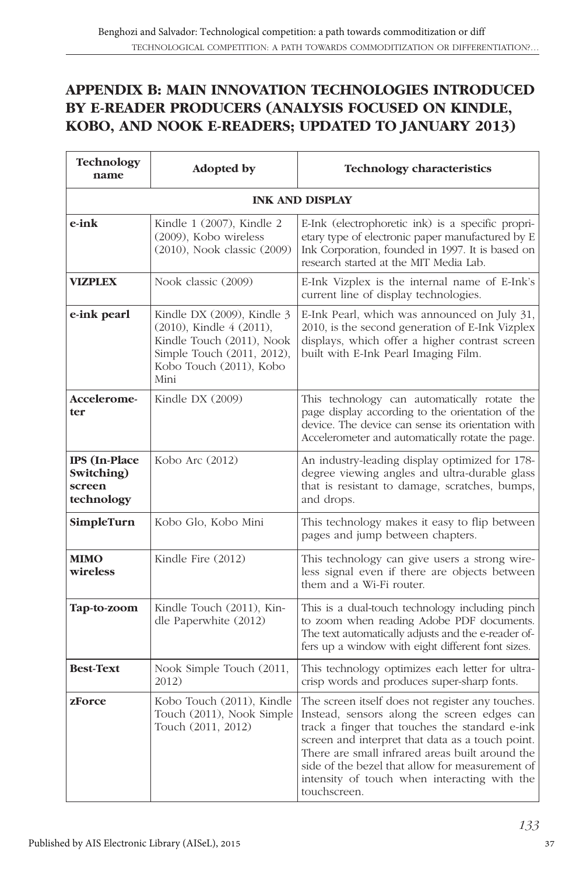# **APPENDIX B: MAIN INNOVATION TECHNOLOGIES INTRODUCED BY E-READER PRODUCERS (ANALYSIS FOCUSED ON KINDLE, KOBO, AND NOOK E-READERS; UPDATED TO JANUARY 2013)**

| Technology<br>name                                         | Adopted by                                                                                                                                           | <b>Technology characteristics</b>                                                                                                                                                                                                                                                                                                                                           |  |  |
|------------------------------------------------------------|------------------------------------------------------------------------------------------------------------------------------------------------------|-----------------------------------------------------------------------------------------------------------------------------------------------------------------------------------------------------------------------------------------------------------------------------------------------------------------------------------------------------------------------------|--|--|
| <b>INK AND DISPLAY</b>                                     |                                                                                                                                                      |                                                                                                                                                                                                                                                                                                                                                                             |  |  |
| e-ink                                                      | Kindle 1 (2007), Kindle 2<br>(2009), Kobo wireless<br>(2010), Nook classic (2009)                                                                    | E-Ink (electrophoretic ink) is a specific propri-<br>etary type of electronic paper manufactured by E<br>Ink Corporation, founded in 1997. It is based on<br>research started at the MIT Media Lab.                                                                                                                                                                         |  |  |
| <b>VIZPLEX</b>                                             | Nook classic (2009)                                                                                                                                  | E-Ink Vizplex is the internal name of E-Ink's<br>current line of display technologies.                                                                                                                                                                                                                                                                                      |  |  |
| e-ink pearl                                                | Kindle DX (2009), Kindle 3<br>(2010), Kindle 4 (2011),<br>Kindle Touch (2011), Nook<br>Simple Touch (2011, 2012),<br>Kobo Touch (2011), Kobo<br>Mini | E-Ink Pearl, which was announced on July 31,<br>2010, is the second generation of E-Ink Vizplex<br>displays, which offer a higher contrast screen<br>built with E-Ink Pearl Imaging Film.                                                                                                                                                                                   |  |  |
| Accelerome-<br>ter                                         | Kindle $DX(2009)$                                                                                                                                    | This technology can automatically rotate the<br>page display according to the orientation of the<br>device. The device can sense its orientation with<br>Accelerometer and automatically rotate the page.                                                                                                                                                                   |  |  |
| <b>IPS</b> (In-Place<br>Switching)<br>screen<br>technology | Kobo Arc (2012)                                                                                                                                      | An industry-leading display optimized for 178-<br>degree viewing angles and ultra-durable glass<br>that is resistant to damage, scratches, bumps,<br>and drops.                                                                                                                                                                                                             |  |  |
| SimpleTurn                                                 | Kobo Glo, Kobo Mini                                                                                                                                  | This technology makes it easy to flip between<br>pages and jump between chapters.                                                                                                                                                                                                                                                                                           |  |  |
| <b>MIMO</b><br>wireless                                    | Kindle Fire (2012)                                                                                                                                   | This technology can give users a strong wire-<br>less signal even if there are objects between<br>them and a Wi-Fi router.                                                                                                                                                                                                                                                  |  |  |
| Tap-to-zoom                                                | Kindle Touch (2011), Kin-<br>dle Paperwhite (2012)                                                                                                   | This is a dual-touch technology including pinch<br>to zoom when reading Adobe PDF documents.<br>The text automatically adjusts and the e-reader of-<br>fers up a window with eight different font sizes.                                                                                                                                                                    |  |  |
| <b>Best-Text</b>                                           | Nook Simple Touch (2011,<br>2012)                                                                                                                    | This technology optimizes each letter for ultra-<br>crisp words and produces super-sharp fonts.                                                                                                                                                                                                                                                                             |  |  |
| zForce                                                     | Kobo Touch (2011), Kindle<br>Touch (2011), Nook Simple<br>Touch (2011, 2012)                                                                         | The screen itself does not register any touches.<br>Instead, sensors along the screen edges can<br>track a finger that touches the standard e-ink<br>screen and interpret that data as a touch point.<br>There are small infrared areas built around the<br>side of the bezel that allow for measurement of<br>intensity of touch when interacting with the<br>touchscreen. |  |  |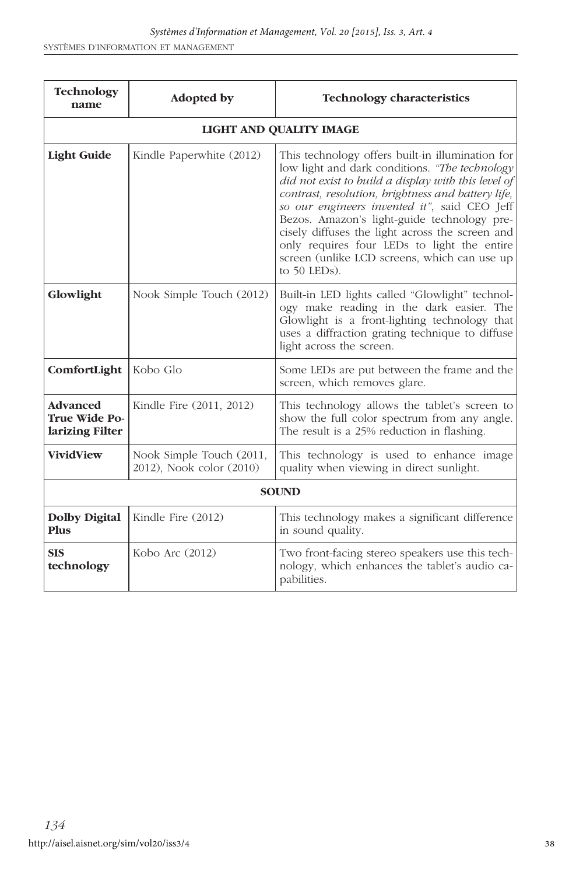| Technology<br>name                           | <b>Adopted by</b>                                    | <b>Technology characteristics</b>                                                                                                                                                                                                                                                                                                                                                                                                                                                  |  |  |
|----------------------------------------------|------------------------------------------------------|------------------------------------------------------------------------------------------------------------------------------------------------------------------------------------------------------------------------------------------------------------------------------------------------------------------------------------------------------------------------------------------------------------------------------------------------------------------------------------|--|--|
| <b>LIGHT AND QUALITY IMAGE</b>               |                                                      |                                                                                                                                                                                                                                                                                                                                                                                                                                                                                    |  |  |
| <b>Light Guide</b>                           | Kindle Paperwhite (2012)                             | This technology offers built-in illumination for<br>low light and dark conditions. "The technology<br>did not exist to build a display with this level of<br>contrast, resolution, brightness and battery life,<br>so our engineers invented it", said CEO Jeff<br>Bezos. Amazon's light-guide technology pre-<br>cisely diffuses the light across the screen and<br>only requires four LEDs to light the entire<br>screen (unlike LCD screens, which can use up<br>to $50$ LEDs). |  |  |
| Glowlight                                    | Nook Simple Touch (2012)                             | Built-in LED lights called "Glowlight" technol-<br>ogy make reading in the dark easier. The<br>Glowlight is a front-lighting technology that<br>uses a diffraction grating technique to diffuse<br>light across the screen.                                                                                                                                                                                                                                                        |  |  |
| ComfortLight                                 | Kobo Glo                                             | Some LEDs are put between the frame and the<br>screen, which removes glare.                                                                                                                                                                                                                                                                                                                                                                                                        |  |  |
| Advanced<br>True Wide Po-<br>larizing Filter | Kindle Fire (2011, 2012)                             | This technology allows the tablet's screen to<br>show the full color spectrum from any angle.<br>The result is a 25% reduction in flashing.                                                                                                                                                                                                                                                                                                                                        |  |  |
| <b>VividView</b>                             | Nook Simple Touch (2011,<br>2012), Nook color (2010) | This technology is used to enhance image<br>quality when viewing in direct sunlight.                                                                                                                                                                                                                                                                                                                                                                                               |  |  |
| <b>SOUND</b>                                 |                                                      |                                                                                                                                                                                                                                                                                                                                                                                                                                                                                    |  |  |
| <b>Dolby Digital</b><br><b>Plus</b>          | Kindle Fire (2012)                                   | This technology makes a significant difference<br>in sound quality.                                                                                                                                                                                                                                                                                                                                                                                                                |  |  |
| <b>SIS</b><br>technology                     | Kobo Arc (2012)                                      | Two front-facing stereo speakers use this tech-<br>nology, which enhances the tablet's audio ca-<br>pabilities.                                                                                                                                                                                                                                                                                                                                                                    |  |  |